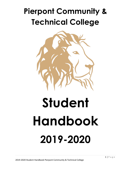# **Pierpont Community & Technical College**



# **Student Handbook 2019-2020**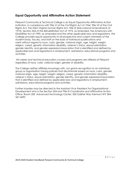# **Equal Opportunity and Affirmative Action Statement**

Pierpont Community & Technical College is an Equal Opportunity-Affirmative Action Institution. In compliance with Title VI of the Civil Rights Act of 1964, Title VII of the Civil Rights Act, the West Virginia Human Rights Act, Title IX (Educational Amendments of 1972), Section 504 of the Rehabilitation Act of 1973, as amended, the Americans with Disabilities Act of 1990, as amended and the other applicable laws and regulations, the College provides equal opportunity to all prospective and current members of the student body, faculty, and staff on the basis of individual qualifications and merit without regard to race, color, gender, national origin, age, height, weight, religion, creed, genetic information disability, veteran's status, sexual orientation, gender identity, and gender expression/association that is identified and defined by applicable laws and regulations in employment, admissions, educational programs and activities.

All career and technical education courses and programs are offered at Pierpont regardless of race, color, national origin, gender or disability.

The College neither affiliates knowingly with, nor grants recognition to an individual, group or organization having policies that discriminate based on race, color, gender, national origin, age, height, weight, religion, creed, genetic information disability, veteran's status, sexual orientation, gender identity, and gender expression/association that is identified and defined by applicable laws and regulations in employment, admissions, educational programs and activities.

Further inquiries may be directed to the Assistant Vice President for Organizational Development who is the Section 504 and Title IX Coordinator and Affirmative Action Office, Room 200 Advanced Technology Center, 500 Galiher Way Fairmont WV 304- 367-4692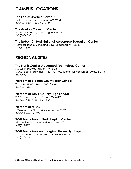# **CAMPUS LOCATIONS**

# **The Locust Avenue Campus**

120l Locust Avenue, Fairmont, WV 26554 (304)367-4907 or (304)367-4786

# **The Gaston Caperton Center**

501 W. Main Street, Clarksburg, WV 26301 (304)367-4037

# **The Robert C. Byrd National Aerospace Education Center**

1050 East Benedum Industrial Drive, Bridgeport, WV 26330 (304)842-8300

# **REGIONAL SITES**

# **The North Central Advanced Technology Center**

500 Galliher Drive, Fairmont, WV 26554 (304)333-3684 (admissions), (304)367-4920 (center for workforce), (304)222-2718 (general)

# **Pierpont at Braxton County High School**

200 Jerry Burton Drive, Sutton, WV 26601 (304)368-7235

# **Pierpont at Lewis County High School**

205 Minutemen Drive, Weston, WV 26452 (304)269-6389 or (304)368-7256

# **Pierpont at MTEC**

1000 Mississippi Street, Morgantown, WV 26501 (304)291-9245 ext. 264

# **WVU Medicine- United Hospital Center**

327 Medical Park Drive, Bridgeport, WV 26330 (681)342-1871

# **WVU Medicine- West Virginia University Hospitals**

1 Medical Center Drive, Morgantown, WV 26506 (304)598-4251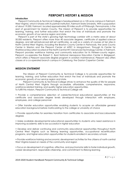# **PIERPONT'S HISTORY & MISSION**

#### **Introduction**

 Pierpont Community & Technical College is headquartered on a 120-acre campus in Fairmont, West Virginia, which it shares with its partner institution, Fairmont State University. With a population of about 19,000, Fairmont, located approximately 90 miles south of Pittsburgh, Pennsylvania, is the seat of government for Marion County. The mission of Pierpont is to provide opportunities for learning, training, and further education that enrich the lives of individuals and promote the economic growth of our service region and state.

 Pierpont is part of the state's growing high technology corridor with a metro area of about 50,000 residents. Pierpont offers more than 40 associate degrees, certificate of applied science degrees, and skill set/advanced skill set certificates, as well as a variety of courses at ten sites in North Central West Virginia, including the Braxton County Center in Flatwoods, the Lewis County Center in Weston and the Pierpont Center at MTEC in Morgantown. Through its Center for Workforce Education located at the North Central WV Advanced Technology Center, in Fairmont, Pierpont provides workforce training and community education for its thirteen-county region. Pierpont co-operates the Robert C. Byrd National Aerospace Education Center in Bridgeport, which offers a Pierpont associate degree program in aviation maintenance. Pierpont also offers classes at a co-operated branch campus in Clarksburg, the Gaston Caperton Center.

#### **MISSION STATEMENT**

The Mission of Pierpont Community & Technical College is to provide opportunities for learning, training, and further education that enrich the lives of individuals and promote the economic growth of our service region and state.

Pierpont Community & Technical College strives to enhance the quality of life for people of North Central West Virginia through accessible, affordable, comprehensive, responsive, workforce-related training, and quality higher education opportunities. To fulfill this mission, Pierpont Community & Technical College will:

• Provide a comprehensive selection of career/technical educational opportunities at the certificate and associate degree levels developed through interaction with employers, employees, and college personnel

• Offer transfer education opportunities enabling students to acquire an affordable general education background before matriculating to the college or university of choice

• Provide opportunities for seamless transition from certificates to associate and baccalaureate degrees

• Make available developmental educational opportunities to students who need assistance in improving academic skills to be successful in higher education

• Develop and deliver continuing and community educational opportunities throughout North Central West Virginia such as lifelong learning opportunities, occupational recertification programs, and higher education opportunities for students enrolled in secondary schools

• Provide workforce training and economic development activities for the citizens of north-central West Virginia based on needs of the community and region

• Focus on development of cognitive, affective, and psychomotor skills to foster individual growth, career development, responsible citizenship, and commitment to lifelong learning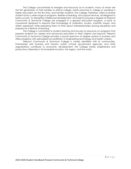The College concentrates its energies and resources on its students, many of whom are the first generation of their families to attend college, adults returning to college or enrolling in higher education for the first time, and transfer students. The College, therefore, offers its diverse student body a wide range of programs, flexible scheduling, and support services, all designed to foster success. To strengthen intellectual development, all students pursuing a degree at Pierpont Community & Technical College are engaged in a general education program, a body of coursework designed to expand their knowledge of civilization, society, scientific inquiry, and artistic expression while preparing them to think about interrelationships among disciplines and prepare for a lifetime of learning.

The College is committed to student learning and focuses its resources on programs that prepare students for careers and advanced education in West Virginia and beyond. Pierpont Community & Technical College provides a broad spectrum of degree options in business and offers programs with specialized accreditation in engineering technology and health careers.

Pierpont Community & Technical College is closely identified with its communities. Partnerships with business and industry, public schools, government agencies, and other organizations contribute to economic development; the College fosters enlightened and productive citizenship in its immediate location, the region, and the world.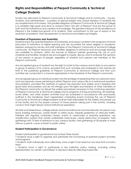# **Rights and Responsibilities of Pierpont Community & Technical College Students**

Society has allocated to Pierpont Community & Technical College and its community – faculty, students, and administrators – a position of special esteem and unique freedom to facilitate the accomplishments of its mission. The parallel obligation of Pierpont Community & Technical College is to establish high goals and strive to achieve them. The aim of Pierpont must be the pursuit of truth and the furtherance and creation of knowledge. The greatest measure of the excellence of Pierpont is the intellectual growth of its students, their commitment to the use of reason in the resolution of problems, their development to technical and intellectual integrity.

#### **Freedom of Expression and Assembly**

Students enjoy the essential freedoms of scholarship and inquiry consistent with programs of formal education in institutions of higher learning and are accorded the same degree of academic freedom enjoyed by faculty and staff members of the Pierpont Community & Technical College community. All Pierpont resources and facilities designed to enhance and encourage learning are available to students, within the bounds of Pierpont policies governing the use of such materials and facilities. Students are encouraged to inquire, discuss, and to evaluate the opinions of any person or groups of people, regardless of whether such persons are members of the Pierpont community.

Any recognized group of students has the right to invite to the campus and to listen to any person or group of persons of its choice, provided that such activities are scheduled in the manner set forth in the published guidelines of Pierpont Community & Technical College and that such activities are conducted in a manner appropriate to the standards of the Pierpont community.

Any recognized group or individual student has the privilege of expressing their own personal views and may espouse causes pertaining to either Pierpont and campus life or to extramural questions and problems, provided the methods of support are peaceful and orderly and in keeping with good taste and propriety and do not infringe upon the rights and freedom of other members of the Pierpont community nor disrupt the orderly procedures necessary to the continuing operation of Pierpont Community & Technical College and its programs of living and learning. All meetings, social affairs, and other student activities must be scheduled in accordance with procedures outlined in this handbook. Each organization scheduling events involving the use of Pierpont Community & Technical College property shall be held responsible for the orderly and proper use of the facility and for the proper conduct of those persons taking part in the activity, avoiding conduct that might disrupt normal institutional operations.

All state and federal laws, college policies and local ordinances must be followed. No person may block building entrances, create health or safety issues, impede pedestrian of vehicular traffic, interfere with regularly scheduled classes, events or ceremonies or essential operations, use amplification systems that create undesirable noise levels, create destruction of property, hold gatherings with 75 feet of entrance to any campus facility, hold gatherings of 50 people or more without a permit, cause a threat to public safety.

#### **Student Participation in Governance**

Student participation in governance has at least three facets:

• Students have a right to organize and administer the functioning of essential student activities and programs.

• Students, both individually and collectively, have a right to be heard on any issue that concerns them.

• Students have a right to participate in the institution policy making, including voting representation on certain committees, in decisions directly affecting student life.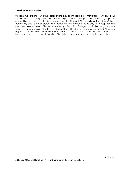#### **Freedom of Association**

Students may organize whatever associations they deem desirable or may affiliate with any group for which they feel qualified for membership, provided the purposes of such groups are compatible with and in the best interests of the Pierpont Community & Technical College community and its stated purposes of educating the individual. To qualify for recognition and permission to operate as a Pierpont Community & Technical College organization, all groups must follow the procedures as set forth in the Student Body Constitution and Bylaws, Article X. All student organizations concerned essentially with student activities shall be organized and administered by students and have a faculty advisor. The Advisor may or may not vote in the assembly.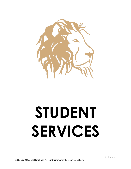

# **STUDENT SERVICES**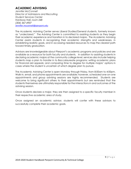# **ACADEMIC ADVISING**

*Jennifer McConnell Director of Admissions and Recruiting Student Services Center Hardway Hall, room 248 (304) 367-4907* [Jennifer.mcconnell@pierpont.edu](mailto:Jennifer.mcconnell@pierpont.edu)

The Academic Advising Center serves Liberal Studies/General students, formerly known as "undeclared." The Advising Center is committed to assisting students as they begin their academic experience and transition in to declared majors. The Academic Advising Center assists students in recognizing their academic strengths and weaknesses, in establishing realistic goals, and in accessing needed resources to map the clearest path toward timely graduation.

Advisors are knowledgeable about Pierpont's academic programs and policies and are available as a resource for both faculty and students. In addition to assisting students in declaring academic majors at the community college level, services also include helping students map a plan to transfer in to Baccalaureate programs; writing academic plans for financial aid appeals; and comparing time to degree for multiple majors' options in cases where the student is uncertain of which degree plan to pursue.

The Academic Advising Center is open Monday through Friday, from 8:00am to 4:00pm. Walk-in, email, and phone appointments are available; however, scheduled one-on-one appointments and group advising sessions are highly recommended. Students are welcome to bring significant others to their appointments but are reminded that the students themselves are ultimately responsible for the interactions in and outcomes of the advising session.

Once students declare a major, they are then assigned to a specific faculty member in their respective academic area of study.

Once assigned an academic advisor, students will confer with these advisors to successfully complete their academic goals.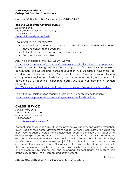#### **EDGE Program Advisor College 101 Transition Coordinator –**

*Contact 248 Hardway Hall for information (304)367-4907*

#### **Regional Academics Advising Services**

*Deborah Barker The Pierpont Center @ Lewis County (304)368-7256* [Deborah.Barker@pierpont.edu](mailto:Deborah.Barker@pierpont.edu)

#### LEWIS COUNTY CENTER SERVICES

- Academic assistance and guidance on a drop-in basis for students with general advising concerns and questions.
- Referral assistance to campus and community services.
- Summer advising of students.

Advising is available at the Lewis County Center

<http://www.pierpont.edu/academics/regionalacademics/locations/lewis-county.asp>

in Weston, Monday through Friday 8:00am – 4:00pm. Call (304)368-7256 to schedule an appointment. The Career and Technical Education (CTE) Academic Advisor provides academic advising services at the Career and Technical Centers in Pierpont's thirteencounty service region periodically throughout the semester and by appointment. To contact the CTE Academic Advisor, please call (304)368-3657 or follow the link for more information.

[http://www.pierpont.edu/academics/regionalacademics/resources/racte\\_advising](http://www.pierpont.edu/academics/regionalacademics/resources/racte_advising)

Follow this link for information regarding Pierpont's 13-county service locations <http://www.pierpont.edu/academics/regionalacademics/default.asp>

# **CAREER SERVICES**

*Jennifer McConnell Student Services Center Hardway Hall, room 248 (304)367-4907 [studentservices@peirpontedu](mailto:Nancy.Parks@pierpont.edu)*

Pierpont Career Services assists students, prospective students, and alumni throughout every stage of their career development. Career Services is committed to helping you meet your academic, career, and employment goals. We provide a full spectrum of services ranging from, but not limited to: mock interviews, how to write an effective resume, how to network and use social media, how to job and internship search, college transfer preparation, career workshops, job fairs and how to accomplish your career goals and plan your career path. All services are free. We are here to provide you with the tools necessary to reach your goals and make significant contributions to employers and the community. Pierpont has also purchased "Student Lingo" products to help prepare students for life at Pierpont and after Pierpont.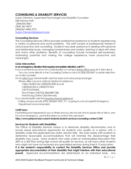# **COUNSELING & DISABILITY SERVICES**

*Suzan Clemens, Supervised Psychologist and Disability Counselor 248 Harway Hall (304)333-3661 (304) 367-4073 (304)367-4906 (TTY) [Suzan.Clemens@pierpont.edu](mailto:Suzan.Clemens@pierpont.edu)*

#### **Counseling Services**

The Counseling Services Office provides professional assistance to students experiencing a variety of personal and social problems. The staff consists of professionals trained in clinical practice and counseling. Students may seek assistance in dealing with personal and relationship issues, managing homesickness and anxiety, learning to deal with stress and many other problems. Benefits of counseling include increased self-awareness, maximizing potential and making the college experience more productive and meaningful.

#### **Crisis Intervention**

#### **In an emergency situation that requires immediateattention call 911.**

If you or someone you know is in a crisis situation on campus *during office hours*(M-F, 8am-4pm): -You can come directly to the Counseling Center or call us at (304) 333-3661 to obtain help from an on-site counselor.

For an *after-hours* mental health crisis that does not involve physical danger:

-Please utilize a local or national crisis line for assistance.

ValleyHealthCare (1800)232-0020 (Local)

(1800)SUICIDEor(1800)273-TALK

(1877)YOUTHLINE

Trevor Project (LBGTQ) (866) 488-7386

IMALIVE.org(Online Crisis Network)

For a mental health crisis that *requires physical assistance*:

-Calling campus security (DPS) (304)367-4357, 911, or going to a local hospital's Emergency Department is recommended.

#### **CARE Team**

If something has happened to you or others and you are not sure who to speak with or talk to, and it is not an emergency, use the link below to contact the care team.

**https://www.pierpont.edu/current-students/student-services/counseling-center/CARE**

#### **Services for Students with Disabilities**

The Office of Disability Services mission is to eliminate disability discrimination and to ensure equal educational opportunity for students who qualify as a person with a disability under the applicable laws (ADA, Section 504). We work closely with students to determine reasonable accommodations that will minimize the disadvantage their disability may cause. Many students who were under an Individualized Education Plan (IEP) or a 504 Plan during high school will qualify for services, as will many other students who might not have not received any specialized services during their K-12 education. **It is the student's responsibility to contact the Disability Services Office and provide** 

**appropriate documentation of their disability that might interfere with their educational pursuit.** Approved accommodations are determined on an individual basis. Any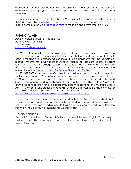requirement an instructor demonstrates as essential to any directly related licensing requirement or to a program of instruction pursued by a student with a disability cannot be altered.

For more information, contact the office of Counseling & Disability Services by phone at (304)333-3661 or by email at *access@piepont.edu* To register as a student with a disability please complete the [web registration form](http://www.pierpont.edu/current-students/student-services/disability-services/registration-form-0) to make an appointment for an intake.

## **FINANCIAL AID**

*Ashley Tennant Director of Financial Aid Hardway Hall, room 248 (304)367-4907 Financialaid@pierpont.edu*

The Office of Financial Aid and Scholarships provides students with access to a variety of Financial Aid programs, including scholarships, grants, loans and college work study to assist in meeting their educational expenses. Eligible applicants must be admitted as regular students into a Certificate in Applied Science or Associate degree program. Official high school and college academic transcripts (if applicable) or TASC/GED scores must be on file with the Office of Admissions. Financial Aid eligibility is determined after evaluation of the [Free Application for Federal Student Aid \(FAFSA\).](http://www.fafsa.ed.gov/)

For 2020-21 FAFSA, as soon after October 1, as possible, collect all your tax information for the prior-prior year . You will need your parent's information if you are under the age of 24, not married, no children, not on active duty, not a veteran or a ward of the court. Students are encouraged to apply annually, prior to the priority filing date of March 1 to ensure full consideration for all aid programs. Priority deadline for the WV State Grant is April 15th. Pierpont Scholarships are generally awarded after April1. Detailed information describing scholarship programs may be found online at:

[https://pierpont.edu/financial-aid/explore-aid-scholarship-options.](https://pierpont.edu/financial-aid/explore-aid-scholarship-options)

Financial Aid staff members are available to talk with students and their families in 248 Hardway Hall on a walk-in or appointment basis. Students receiving Financial Aid who are considering making an adjustment to their credit hour load or withdrawing from the institution should consult a Financial Aid Counselor first.

## **Library Services**

Pierpont Community and Technical College has joined the West Virginia Community College System library consortium. To access the library, please log in to ROAR and select Blackboard.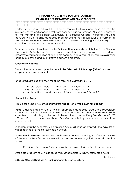#### **PIERPONT COMMUNITY & TECHNICAL COLLEGE STANDARDS OF SATISFACTORY ACADEMIC PROGRESS**

#### **DODODO**

Federal regulations and institutional policy require that your academic progress be reviewed at the end of each enrollment period, including summer. All students enrolling for the first time at Pierpont Community & Technical College (Pierpont) (including transfers) will be meeting academic progress during the first semester of enrollment at Pierpont; subsequent reviews will include all course work (including transfer work) that is contained on Pierpont academic transcript.

To receive funds administered by the Office of Financial Aid and Scholarships at Pierpont Community & Technical College, students must be making measurable academic progress toward completion of an eligible degree. Federal regulations require evaluation of both qualitative and quantitative academic progress.

#### **Qualitative Progress**

This evaluation is based upon the **cumulative "Grade Point Average (GPA**)" as shown on your academic transcript.

Undergraduate students must meet the following **Cumulative** GPA:

01-24 total credit hours -- minimum cumulative GPA >= 1.5 25-48 total credit hours -- minimum cumulative GPA >= 1.8 49 total credit hours and above -- minimum cumulative GPA >= 2.0

#### **Quantitative Progress**

This is based upon two areas of progress: "**pace"** and "**maximum time frame"**.

**Pace** is defined as the rate at which attempted academic credits are successfully completed. This is calculated by taking the cumulative number of hours successfully *completed* and dividing by the cumulative number of hours *attempted*. Grades of "W", "F" and "I" count as attempted hours. Transfer hours that appear on your transcript are also included.

A student must be successfully completing 67% of all hours attempted. The calculation will be rounded to the closest whole number.

**Maximum Time Frame** allowed to complete your degree (including transfer hours) is 150% of the normal time frame. Repeated courses are counted against the maximum time frame.

Certificate Program of 36 hours must be completed within 54 attempted hours.

Associate program of 60 hours, students must complete within 90 attempted hours.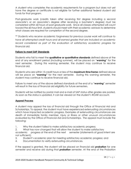A student who completes the academic requirements for a program but does not yet have the degree or certificate is not eligible for further additional federal student aid funds for that program.

Post-graduate work (credits taken after receiving first degree including a second associate's or an associate's degree after receiving a bachelor's degree) must be completed within 60 hours of post-graduate work. Since all classes attempted will count toward the 60-hour limit, students should meet with their academic advisors to determine what classes are required for completion of the second degree.

*\*\* Students who receive academic forgiveness for previous course work will continue to have all attempted credit hours and all earned grades that are included on academic*  record considered as part of the evaluation of satisfactory academic progress for *financial aid.*

#### **Failure to meet SAP Standards**

Students who fail to meet the **qualitative or quantitative standards** defined above at the end of any enrollment period (including summer), will be placed on "*warning*" for the next semester. During this warning semester, the student may continue to receive financial aid.

Students who are within 15 credit hours or less of the **maximum time frame** defined above will be place on *"warning"* for the next semester. During this warning semester, the student may continue to receive financial aid.

Failure to meet any of the above defined standards at the end of a "*warning*" semester will result in the loss of financial aid eligibility for future semesters.

Students will be notified by postal mail and e-mail of SAP status after grades are posted. As soon as the status is updated, it can be viewed on the student's ROAR account.

#### **Appeal Process**

A student may appeal the loss of financial aid through the Office of Financial Aid and Scholarships. To appeal, the student must have experienced extenuating circumstances which have impacted academic progress. Examples of extenuating circumstances are death of immediate family member, injury or illness or other unusual circumstances evaluated by the Office of Financial Aid and Scholarships. The appeal must include the following:

- 1. Why the student failed to make satisfactory academic progress;
- 2. What has now changed that will allow the student to make satisfactory

academic progress at the end of the next semester (statements of good intent are not sufficient);

- 3. Student's academic plan for meeting satisfactory academic progress; and
- 4. Documentation to verify extenuating circumstances.

If the appeal is granted, the student will be placed on financial aid *probation* for one semester and receive aid during that *probation* semester. At the end of the Probation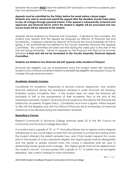Semester the student *MUST* meet the defined SAP standards or meet the academic plan that was developed for the appeal.

#### **Appeals must be submitted by the Friday before the week before classes begin. Students who wish to enroll and submit the appeal after the deadline should make plans to pay all charges through personal means. If the appeal is subsequently reviewed and approved, any financial aid for which the student is eligible will be processed and any excess funds will be returned to the student.**

Appeals will be reviewed by Financial Aid Counselors. If denied by the counselor, the student may request that the appeal be reviewed by Director of Financial Aid and Scholarships. If appeal is denied by Director of Financial Aid and Scholarships for Fall or Spring, it will automatically be referred to the Faculty Assembly Financial Aid Appeals Committee. This committee will meet one time during the week prior to the start of the Fall and Spring Semesters. Denial of appeals by the Financial Aid Director for Summer Semester **is final and will not be forwarded to the Faculty Assembly Financial Appeals Committee.**

#### **Students are limited to two financial aid SAP appeals while enrolled at Pierpont.**

Financial Aid eligibility can be re-established once the student meets SAP standards. Students who continue enrollment before re-establishing eligibility are required to pay for charges through personal means.

#### **Academic Amnesty Courses:**

Candidates for academic forgiveness or second chance opportunity, may receive financial assistance during the readmission semester if under Financial Aid Warning, Probation and/or Academic Plan. If the student does not meet the financial aid standards of SAP or the requirements of their Academic Plan at the end of the readmission semester, student's financial aid will suspend as dictated by the Financial Aid Satisfactory Academic Progress Policy. Candidates must have a signed, written request on file with the Registrar and with the Office of Financial Aid & Scholarships for financial assistance to be released during the readmission semester.

#### **Repeating a Course:**

Pierpont Community & Technical College enforces Series 22 of the WV Council for Community and Technical College Education.

If a student earns a grade of "D" or "F" (including failures due to regular and/or irregular withdrawal) on any course taken no later than the semester or summer term during which the student attempts the sixtieth semester hour, and if that student repeats this course prior to the receipt of a baccalaureate degree, the original grade shall be disregarded and the grade or grades earned when the course is repeated shall be used in determining his/her grade point average. The original grade shall not be deleted from the student's record. Courses passed with a grade of "C" or better may not be legally repeated. See current catalog for more information.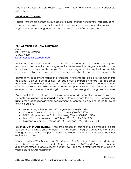Students who repeat a previously passed class may have limitations on financial aid eligibility.

#### **Nonstandard Courses:**

Federal student aid cannot be awarded for courses that do not count toward a student's program completion. Examples include non-credit courses, audited courses, and English-as-a-Second-Language courses that are not part of an ESL program

# **PLACEMENT TESTING SERVICES**

*Student Services 248 Hardway Building (304)367-490 [studentservices@pierpont.edu](mailto:studentservices@pierpont.edu)*

All incoming students who do not have ACT or SAT scores that meet the required minimum scores for entry into college-credit courses, selective programs, or who do not have the appropriate transfer courses from other colleges may be required to complete placement testing for some courses or programs of study with prerequisite requirements.

Results of this placement testing may indicate if students are eligible for admission into traditional, 3-credit/3-contact hour college-credit composition and/or college-credit math classes, or sciences courses, OR if they are required to enroll in expanded versions of those courses that entail required academic support. In some cases, students may be required to complete math and English support courses along with the gateway course.

Placement testing is offered on all class registration days on all campuses; however, students are **strongly encouraged** to complete placement testing in an appointment **before** their registration/advising appointment by contacting any one of the following testing locations:

- Locust Ave., Fairmont, WV: 207 Jaynes Hall, (304)367-4907
- Caperton Center, Clarksburg, WV: Library, (304)367-4030
- MTEC, Morgantown, WV: Adult Learning Center, (304)291-9226
- Lewis Co. campus, Weston, WV (Lewis Co. HS): (304)269-6389
- Braxton Co. campus, Braxton Co. HS, Flatwoods, WV: (304)765-7300

**Distance/Out-of-State students:** Proctored placement testing may be available; please contact the Advising Center for details. In most cases, though, students who must travel a long distance to the campus will complete placement testing on the same day they register for classes.

*\*Students with ACT sub scores of 17, 18, and 19 in Reading; English; and Math and students with SAT sub scores of 450 in Critical Reading and 460 in Math are exempt from placement testing in those respective areas, provided these tests were taken within five years prior to course registration.*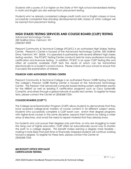*Students with s scores of 3 or higher on the State of WV high school standardized testing in math and English are also exempt from placement testing.* 

*Students who've already completed college-credit math and or English classes or have successfully completed free-standing developmental skills classes at other colleges will be exempt from placement testing.*

# **HIGH STAKES TESTING SERVICES AND COLEGE BOARD (CLEP) TESTING**

*Advanced Technology Center, 500 Galliher Drive, Fairmont, WV (304)367-4920*

Pierpont Community & Technical College (PC&TC) is an authorized High Stakes Testing Center. Pierpont's Center is housed at the Advanced Technology Center, 500 Galliher Drive, Fairmont, WV 26554. It is operated in partnership with several different high stakes testing vendors. The PC&TC Testing Center conducts tests for many professions including certification and licensure testing. In addition, PC&TC is an open CLEP Testing Site and offers all currently available CLEP tests the results of which can be transmitted electronically to a student's school choice. Please check with your school to ensure that it accepts the examination of interest.

#### **PEARSON VUE® AUTHORIZED TESTING CENTER**

Pierpont Community & Technical College is an authorized Person VUE® Testing Center. The college's Pearson VUE® Testing Center is housed at the Advanced Technology Center. The Pearson VUE advanced computer-based testing system administers exams for the NREMT as well as leading IT certification programs such as Cisco Systems®, CompTIA, and others through a global network of quality test centers. To register for these tests, please contact the Center at (304)368-7254.

#### **COLLEGE BOARD® (CLEP™)**

The College-Level Examination Program (CLEP) allows students to demonstrate that they have acquired college-level mastery of course content in 34 different subject areas. Students who successfully complete a CLEP exam can: enrich their degree programs with higher-level courses in the same discipline, expand their horizons by taking a wider array of electives, and avoid the need to repeat material that they already know.

For students who can pursue their degrees only part-time, or who are struggling to meet the rising cost of higher education, CLEP offers an educationally sound way to shorten the path to a college degree. This benefit makes earning a degree more feasible – making it more likely that part-time or financially strapped students will continue working toward a degree. To register for these tests, please contact the Center at (304)368-7254.

#### **MICROSOFT OFFICE SPECIALIST CERTIFICATION TESTING**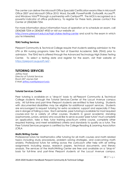The center can deliver the Microsoft Office Specialist Certification exams titles in Microsoft Office 2007 and Microsoft Office 2010: Word, Excel®, PowerPoint®, Outlook®, Access™, and Windows Vista™ through a partnership with Certiport™. The MOS is recognized as a powerful indicator of office proficiency. To register for these tests, please contact the Center at (304)368-7254.

For more information about information hours of operation or to schedule an exam, call (304)368-7254 or (304)367-4920 or visit our website at:

<http://www.pierpont.edu/ce/high-stakes-testing-center> and scroll to the exam in which you're interested.

#### **TEAS Testing Services**

Pierpont Community & Technical College require that students seeking admission to the LPN or RN nursing programs take the Test of Essential Academic Skills (TEAS) prior to admission. The TEAS test is offered through the Advanced Technology High Stakes Testing Center. To select a testing date and register for the exam, visit their website at <https://pierpont.augusoft.net/> .

## **TUTORING SERVICES**

*Jeffrey Noel Director of Tutorial Services Room 207 Jaynes Hall E-Mail: [jeffrey.noel@pierpont.edu](mailto:jeffrey.noel@pierpont.edu)*

#### **Tutorial Services Center**

Peer tutoring is available on a "drop-in" basis to all Pierpont Community & Technical College students through the Tutorial Services Center at the Locust Avenue campus only. All full-time and part-time Pierpont students are entitled to free tutoring. Students with documented disabilities may be eligible for additional support services. Students are encouraged to request tutoring for extra academic support and especially if they are in danger of failing a class. Each semester, peer tutoring is available for most required courses and for a variety of other courses. Students in good academic standing (sophomores, juniors, seniors) who would like to serve as paid "peer tutors" must complete an application, take a free, tutor training practicum online course, complete other required training, and meet established criteria and standards to qualify as a tutor. The Peer Tutorial Services program is certified by the College Reading & Learning Association (CRLA

#### **Math/Writing Center**

Professional tutors for Mathematics offer tutoring for all math courses and math related topics including study procedures, problem solving strategies, and overcoming math anxiety. Professional tutors for writing across the curriculum offer help with all writing assignments including essays, research papers, technical documents, and literary analysis. The services of the Math/Writing Center are free and available on a "drop-in" basis for full-time and part-time Pierpont students at the Locust Avenue campus.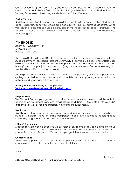Caperton Center (Clarksburg, WV), and other off-campus sites as needed. For hours of availability, check the Professional Math Tutoring Schedule or the Professional Writing Tutoring Schedule on the college website under Tutorial Services.

#### **Online Tutoring**

**[Brainfuse](http://www.pierpont.edu/schoolofacademicstudies/tutorial-services/brainfuse-instruction-page)** is an online tutoring service available free to all currently enrolled students. To access Brainfuse, go to your Blackboard account via your "my campus" account. Once you enter a class through Blackboard, select the "tools" link to access Brainfuse. The Tutoring Center is not available during Summer instruction, but Brainfuse is available 24/7 for tutoring help.

#### **IT HELP DESK**

*Room 104, Colebank Hall (304)333-3731 help@pierpont.edu*

The IT Help Desk is in Room 104 of Colebank Hall and offers a variety of services specific to the student community enrolled at Pierpont Community & Technical College. From our Help Desk, we offer telephone, walk-in, and live chat support to assist the campus during regular business hours (8 a.m. to 4 p.m.). To reach us, call (304)333-3731. We also offer some evening and weekend hours. Please call for availability.

The Help Desk staff can help remove malware from your personally owned computers, assist getting your devices (computers as well as tablets and smartphones) connected to our network, and offer many other services.

#### **Having trouble connecting to Campus User?**

**Try these simple steps before [calling](http://pierpont.edu/current-students/teaching-learning-commons/connect-campus_user) the help desk!**

#### **Pierpont Portal**

The [Pierpont](http://pierpont.edu/portal) Portal is your gateway to online student resources. Here you will be able to access all online student resources (email, Blackboard, Library, ROAR, etc.) with your UCA credentials as well as receive important news and announcements.

#### **Blackboard**

Blackboard is the online course management and instruction system used by faculty and students. All classes have an online component that allows students to access grades, calendars, assignments, quizzes, and discussion boards.

#### **"Cloud" Computing**

Most lab software can be accessed via our "cloud" environment. You can log into the cloud from many different types of devices such as desktops, laptops, tablets, and even smart phones from on or off campus. We can help you get this access setup on your device.

#### **Computer Labs**

There are computer labs on campus that are open for general student use. You can work on course assignments, check email, and browse the Internet.

**ROAR**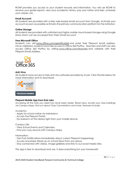ROAR provides you access to your student records and information. You will use ROAR to receive your grade reports, view your academic history, pay your tuition and fees, schedule your classes, etc.

#### **Email Account**

All students are provided with a free web-based email account from Google. Activate your account as soon as possible as Email is the primary communication platform for the institution.

#### **Online Storage**

All students are provided with unlimited and highly mobile cloud-based storage using Google Drive which can be accessed from their Gmail account.

#### **Free Microsoft Office**

Students can visit [www.office.com/getoffice365](http://www.office.com/getoffice365) and enter their Pierpont email address. Once validated, students have free access to Office 365 ProPlus. Teachers and staff can also access Office 365 ProPlus by visiting [www.office.com/teachers](http://www.office.com/teachers) and validate with their Pierpont Email Address.



#### **Anti-Virus**

All students have access to free anti-virus software provided by Avast. Click the link below for [more information a](http://www.avast.com/students)nd to download.



#### **Pierpont Mobile App from Dub Labs**

Accessing all the tools you need has never been easier. Read news, locate your class buildings via Campus Maps, find out about Class Cancelations and more. Features include:

Academic:

- Apply for school online via Admissions
- Access the Pierpont Portal
- Do research at the Library right from your mobile device.

Campus Life:

- View School Events and Calendars.
- Find your way around with Campus Maps.

Information:

- Get Push Notifications immediately about current Pierpont happenings.
- Access anywhere: Read up on school News from any place.
- Stay connected with videos, image galleries and links to our social media sites.

This app is free to download and use. It does everything but your homework!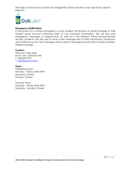The App can be found on both the Google Play Store and the iTunes App Store: Search Pierpont



#### **Emergency Notifications**

In the event of a campus emergency, every student will receive an email message in their student email account informing them of any important information. We will also post emergency messages at pierpont.edu as well as in the Pierpont Portal announcement section. Students can also opt to have a text message sent to their cell phones, Facebook, and Twitter accounts. Text messages will be used for emergencies only (this includes weatherrelated closings).

#### **Contact**

Pierpont IT Help Desk Room 104, Colebank Hall P: (304)333-3731 E: [help@pierpont.edu](http://mailto:help@pierpont.edu/)

#### **Hours**

Fall/Spring Hours Monday - Friday: 8AM-4PM Saturday: Closed Sunday: Closed

Summer Hours Monday - Friday: 8AM-4PM Saturday - Sunday: Closed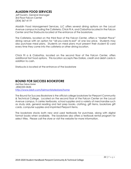# **ALADDIN FOOD SERVICES**

Jeff Swaim, General Manager 3rd Floor Falcon Center (304) 367-4119

Aladdin Food Management Services, LLC offers several dining options on the Locust Avenue campus including the Cafeteria, Chick Fil A, and Ciabattas located in the Falcon Center and the Starbucks located at the entrance of the bookstore.

The Cafeteria, located on the third floor of the Falcon Center, offers a "Market Place" dining venue with an option for "all-you-care-to-eat" at one low price. Students may also purchase meal plans. Students on meal plans must present their student ID card every time they come into the cafeteria or other dining location.

Chick Fil a & Ciabattas, located on the second floor of the Falcon Center, offers additional fast food options. This location accepts Flex Dollars, credit and debit cards in addition to cash.

Starbucks is located at the entrance of the bookstore

# **BOUND FOR SUCCESS BOOKSTORE**

*2nd Floor Falcon Center (304)333-3636 <http://www.bkstr.com/fairmontstatestore/home>*

The Bound for Success Bookstore is the official college bookstore for Pierpont Community & Technical College. Located on the second floor of the Falcon Center on the Locust Avenue campus, it carries textbooks, school supplies and a variety of merchandise such as study aids, general reading and test prep books, clothing, gift items, bookstore gift cards, computer supplies and imprinted Pierpont items.

The bookstore stocks both new and used textbooks for purchase, along with digital format books when available. The bookstore also offers a textbook rental program for select titles. Please call the store or visit the website for more information.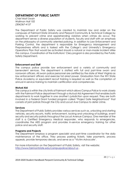# **DEPARTMENT OF PUBLIC SAFETY**

*Chief Matt Swain Wallman Hall 102 (304)367-4157*

The Department of Public Safety was created to maintain law and order on the campuses of Fairmont State University and Pierpont Community & Technical College by working to prevent crime and apprehending violators when crimes do occur. The department serves a diverse population of students, faculty and staff with an emphasis on the philosophy of community oriented policing. In addition to Law Enforcement and Parking Control, the department is responsible for Emergency Management and Preparedness efforts and is tasked with the College's and University's Emergency Operations Plan that would be activated should a natural or man-made incident strike the campus. Coordination of the institutions' Clery program is also provided by the Public Safety Department.

#### **Enforcement and Staff**

The campus police provide law enforcement and a variety of community and benevolent services. The department is staffed with full and part-time sworn and nonsworn officers. All sworn police personnel are certified by the state of West Virginia as law enforcement officers and exercise full arrest power. Graduation from the WV State Police Academy or equivalent recruit training is required as well as the completion of annual in-service training to maintain certification and competencies.

#### **Mutual Aid**

The campus is within the city limits of Fairmont which allows Campus Police to work closely with the Fairmont Police department through a Mutual Aid Agreement that enables both departments to work together in one another's jurisdiction upon request. They are both involved in a Federal Grant funded program called "Project Safe Neighborhood" that consists of joint patrols through the City and Locust Ave Campus to deter crime.

#### **Services**

The Department of Public Safety provides various services such as, unlocking and starting vehicles, security escorts, traffic enforcement, locking and unlocking of buildings, event security and security patrols throughout the Locust Avenue Campus. One member of the staff is a Certified Emergency Medical responder, who responds to emergencies, coordinates the AED program and provides in-service emergency training for other police and security staff.

#### **Programs and Projects**

The Department employs a program specialist and part-time coordinator for the daily maintenance of the office. They process parking tickets, take payments, process appeals, provide temporary decals, and serve as a "Victim Advocate'.

For more information on the Department of Public Safety, visit the website: <http://www.fairmontstate.edu/campuspolice/about-us>.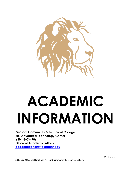

# **ACADEMIC INFORMATION**

**Pierpont Community & Technical College 200 Advanced Technology Center (304)367-4786 Office of Academic Affairs [academicaffairs@pierpont.edu](mailto:academicaffairs@pierpont.edu)**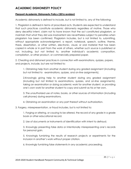# **ACADEMIC DISHONESTY POLICY**

#### **Pierpont Academic Dishonesty Policy (2016 revision)**

Academic dishonesty is defined to include, but is not limited to, any of the following:

1. Plagiarism is defined in terms of proscribed acts. Students are expected to understand that such practices constitute academic dishonesty regardless of motive. Those who deny deceitful intent, claim not to have known that the act constituted plagiarism, or maintain that what they did was inadvertent are nevertheless subject to penalties when plagiarism has been confirmed. Plagiarism includes, but is not limited to, submitting, without appropriate acknowledgment, a report, notebook, speech, outline, theme, thesis, dissertation, or other written, electronic, visual, or oral material that has been copied in whole or in part from the work of others, whether such source is published or not, including, but not limited to, another individual's academic composition, compilation, or other product, or commercially prepared paper.

2. Cheating and dishonest practices in connection with examinations, quizzes, papers, and projects, include, but are not limited to:

1. Obtaining help from another student during any graded assignment (including but not limited to examinations, quizzes, and on-line assignments).

2.Knowingly giving help to another student during any graded assignment (including but not limited to examinations, quizzes, and on-line assignments), taking an examination or doing academic work for another student, or providing one's own work for another student to copy and submit as his or her own.

3. The unauthorized use of notes, books, or other sources of information (including cell phones) during examinations.

4. Obtaining an examination or any part thereof without authorization.

#### 3. Forgery, misrepresentation, or fraud includes, but is not limited to:

1. Forging or altering, or causing to be altered, the record of any grade in a grade book or other educational record.

2. Use of documents or instruments of identification with intent to defraud.

3. Knowingly presenting false data or intentionally misrepresenting one's records for personal gain.

5. Knowingly furnishing the results of research projects or experiments for the inclusion in another's work without proper citation.

6. Knowingly furnishing false statements in any academic proceeding.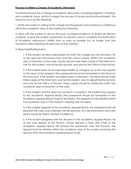#### **Process to Initiate a Charge of Academic Dishonesty**

To initiate and process a charge of academic dishonesty, including plagiarism, cheating, and academic fraud, and/or to begin the process of issuing sanctions/punishment, the instructor must do the following:

1. Notify the student in writing of the charge and the penalty and schedule a conference within five academic days of discovering the infraction.

2. Meet with the student to discuss the issue, to present evidence, to review all relevant materials, to give the student opportunity for rebuttal, and to complete the Notification of Academic Misconduct (NAM) form as soon as possible but no longer than five academic days following the discovery of the violation.

#### 3. Responsibility/Resolution

1. If the student accepts responsibility for both the charge and the sanctions, he or she signs the misconduct form and the case is closed. Within five academic days of resolution of the case, faculty should make three copies of the NAM form: one for the student, one for faculty records, and one for the Office of the Provost.

2. If the student does not accept responsibility as charged, he or she may appeal to the dean of the program (the paperwork should be forwarded to the Dean by the instructor). If the student and dean reach a resolution, the dean should make three copies of the NAM form: one for the student, one for departmental records, and one for the Office of Provost. These copies should be distributed within five academic days of resolution of the case.

3. If the student and the dean do not reach a resolution, the student may appeal to the Academic Appeals Board (the paperwork should be forwarded to the Academic Appeals Board Chair by the Dean). This appeal must be initiated within five academic days of the student's meeting with the dean.

4. If the student appeals to the Academic Appeals Board, the assigned panel will examine the case, and a decision will be reached. All case information and case results should be held in strictest confidence.

5. If the student disagrees with the decision of the Academic Appeals Board, he or she may appeal to the Provost, whose decision is final, (the Chair of the Academic Appeals Board will forward the paperwork onto the Provost). The appeal must be initiated within five academic days of the student receiving the decision from the Academic Appeals Board Chair.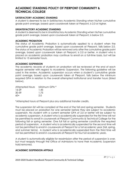# **ACADEMIC STANDING POLICY OF PIERPONT COMMUNITY & TECHNICAL COLLEGE**

#### **SATISFACTORY ACADEMIC STANDING**

A student is deemed to be in Satisfactory Academic Standing when his/her cumulative grade point average, based upon coursework taken at Pierpont, is 2.0 or higher.

#### **UNSATISFACTORY ACADEMIC STANDING**

A student is deemed to be in Unsatisfactory Academic Standing when his/her cumulative grade point average, based upon coursework taken at Pierpont, is below 2.0.

#### **ACADEMIC PROBATION**

The status of Academic Probation is automatically applied to a student when the cumulative grade point average, based upon coursework at Pierpont, falls below 2.0. The status of Academic Probation will be removed only after the cumulative grade point average, based upon coursework taken at Pierpont, is 2.0 or better. A student who is placed on academic probation may continue to enroll on a full-time basis, but will be limited to 15 semester hours.

#### **ACADEMIC SUSPENSION**

The academic records of students on probation will be reviewed at the end of each regular semester with regard to Academic Suspension. The following guideline will be used in the review. Academic suspension occurs when a student's cumulative grade point average, based upon coursework taken at Pierpont, falls below the minimum required GPA in relation to the overall attempted institutional and transfer hours (listed below).

| Attempted Hours | Minimum GPA * |
|-----------------|---------------|
| 16-29           | 1.45          |
| 30-59           | 1.75          |
| $60+$           | 2.0           |

\*Attempted hours at Pierpont plus any additional transfer credits.

The suspension list will be compiled at the end of the fall and spring semester. Students must be placed on probation for one semester before they are subject to academic suspension. No student with a current semester GPA of 2.0 or better will be subject to academic suspension. A student who is academically suspended for the first time will not be permitted to enroll in coursework at Pierpont Community & Technical College for the following fall or spring semester. One full fall or spring semester constitute the required period of suspension. A student who is academically suspended for the second time will not be permitted to enroll in coursework at Pierpont for a full academic year (fall, spring, and summer terms). A student who is academically suspended from the third time will not be permitted to enroll in coursework at Pierpont for four full academic years.

A student is automatically eligible for readmission after the period of suspension is over, but must reapply through the Office of Admissions to have their Academic Suspension hold removed.

#### **ACADEMIC SUSPENSION APPEALS**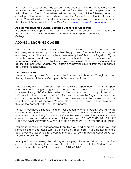A student who is suspended may appeal the decision by writing a letter to the Office of Academic Affairs. The written appeal will be forwarded to the Chairperson of the Admissions and Credits Committee before the beginning of the following term and adhering to the dates in the academic calendar. The decision of the Admissions and Credits Committee is final. For additional information concerning this procedure, contact the Office of Academic Affairs (304)367-4786 or [academicaffairs@pierpont.edu](mailto:academicaffairs@pierpont.edu) .

#### **Appeal Procedure for a Student Dismissed Due to False Credentials**

A student admitted upon the basis of false credentials as determined by the Office of the Registrar subject to immediate dismissal from Pierpont Community & Technical College.

# **ADDING & DROPPING CLASSES**

Students at Pierpont Community & Technical College will be permitted to add classes for upcoming semesters as a part of a scheduling process. The dates for scheduling for upcoming terms will be announced each semester by the Office of the Registrar. Eligible students may add and drop classes from their schedules from the beginning of the scheduling period until the end of the first five days of classes of the upcoming term (four days for summer terms). Students must obtain a registration pin (PIN) from their academic advisor prior to scheduling.

#### **DROPPING CLASSES**

Students may drop classes from their academic schedule without a "W" begin recorded through the end of the Add/Drop period of any academic term.

Students may drop a course by logging on to www.pierpont.edu. Select the Pierpont Portal access and login using the secure sign on. All course scheduling issues are processed through ROAR online. After this time, students may only drop classes with a "W" noted on their academic transcript for the course. See the Registrar's calendar for add, drop, and withdrawal. Students who withdraw from institution beginning with first day of the semester will receive "W" for all classes. You must drop and withdraw online through the Pierpont Portal (not Blackboard).

Notes: • If you have a financial hold on your account or other problems, you will not be able to access your account online to drop. Please visit or call Student Services in 248 Hardway Hall immediately for assistance. Once the hold has been lifted, you may not be able to access your online account until the next day. DO NOT WAIT UNTIL THE LAST MINUTE TO DROP OR WITHDRAW. WE ARE UNABLE TO ASSIST YOU AFTER BUSINESS HOURS.

You are responsible for your schedule. Every time you add or drop a class, review your schedule online and make sure you are properly registered. If you do not attend a course, you are responsible for dropping that course. You WILL NOT BE AUTOMATI CALLY DROPPED FROM THE COURSE.

Any questions concerning the adding or dropping of classes, refunds, or questions concerning withdrawing from the institution should be directed to the Student Services Center, located in Room 248 Hardway Hall, (304)367-4907.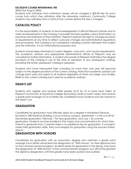#### **EXCESSIVE COURSE WITHDRAWAL FEE**

#### (Effective August 2006)

Students who withdraw from individual classes will be charged a \$50.00 fee for each course from which they withdraw after the allowable maximum. Community College students may withdraw from a total of four courses before the fee is charged.

# **CATALOG POLICY**

It is the responsibility of students to be knowledgeable of official Pierpont policies and to meet all requirements in the Catalog. It provides the best possible current information on practices and intentions of the institution. Pierpont reserves the right to change provisions or requirements at any time to reflect curricular changes and administrative regulations and procedures. The Catalog is not considered a binding contract between the student and the institution. It is for informational purposes only.

Students should keep informed of current degree, curriculum, and course requirements. The academic advisors and appropriate administrative offices of Pierpont may be consulted for further information. A student who enrolls at Pierpont shall follow the degree provisions of the catalog in use at the time of admission or any subsequent catalog, providing the entire subsequent catalog is adopted.

Students who have interrupted their schooling for more than one year will become subject to the degree provisions of the current catalog. Note that academic policies can change each year and apply to all students regardless of when you begin your studies. Refer to the current catalog each year for academic policies.

# **DEAN'S LIST**

Students who register and receive letter grades (A-F) for 12 or more hours taken at Pierpont Community & Technical College (excluding credit or audit marks) and receive a grade point average of 3.4 or better are considered honor students and are named to the Dean's List.

# **GRADUATION**

Candidates for graduation must officially apply for a degree in Enrollment Services located in 248 Hardway Building, Locust Avenue campus. September 1 is the cut off for December graduation, February 1 for May graduation, and July 1 for summer graduation. Students must be enrolled in the majors and concentrations for which they intend to graduate from. Currently there is no additional fee for graduation. If a student misses their graduation date, they must reapply for graduation using the process stated above.

# **GRADUATION WITH HONORS**

Candidates for graduation with an associate's degree who maintain a grade point average 3.4 or better will receive the designation of "With Honors" on their diplomas and on the commencement program. Students ready for graduation in the Spring, may have the designation of "With Honors" in the commencement program, but will not be granted the diploma designation until final grades have been posted and audited.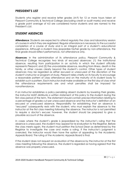# **PRESIDENT'S LIST**

Students who register and receive letter grades (A-F) for 12 or more hours taken at Pierpont Community & Technical College (excluding credit or audit marks) and receive a grade point average of 4.0 are considered honor students and are named to the President's List.

# **STUDENT ABSENCES**

**Attendance**: Students are expected to attend regularly the class and laboratory session of courses in which they are registered. Regular attendance is necessary to the successful completion of a course of study and is an integral part of a student's educational experience. Although a student may jeopardize his/her grade by non-attendance, the final grade should reflect performance, not attendance only.

**Absences**: In the administration of its attendance policy, Pierpont Community & Technical College recognizes two kinds of excused absences: (1) the institutional absence, resulting from participation in an activity in which the student officially represents Pierpont; and (2) the unavoidable absence, resulting from illness, death in the family, or other causes clearly beyond the student's control. Other types of student absences may be regarded as either excused or unexcused at the discretion of the student's instructor or program of study. Pierpont relies chiefly on its faculty to encourage a reasonable pattern of class attendance and on the maturity of its student body to establish such a pattern. Each instructor shall make available on the first day of class what the attendance requirements are and what penalties shall be imposed for nonattendance.

If an instructor establishes a policy penalizing absent students by lowering their grades, the instructor MUST distribute a written statement of this policy to the student during the first class period of the term. The statement should contain precise information relating to a percentage of grades cut per unexcused absence and the instructor's definition of an excused or unexcused absence. Responsibility for establishing that an absence is "excused" subsequently rests with the student, who must explain the absence to the instructor at the first class meeting following the absence. The instructor is not permitted to require a doctor's excuse; however, the student should be prepared to give a plausible account of the absence.

In cases where the student's grade is jeopardized by the instructor's ruling that the absence is unexcused, the student may appeal for re-evaluation to the Registrar. Before the class meets again, the student must petition the School Dean as determined by the Registrar to investigate the case and make a ruling. If the instructor's judgment is overruled, the instructor would then have the option of appealing to the Academic Appeals Board. The ruling of the Academic Appeals Board is final.

If the student does not request an evaluation of the absence by the instructor at the first class meeting following the absence, the student is regarded as having agreed that the absence was properly unexcused.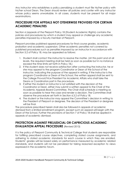Any instructor who establishes a policy penalizing a student must file his/her policy with his/her school Dean. The Dean should review all policies and confer with any instructor whose policy seems unworkable. In all cases, students must be present for all major examinations.

# **PROCEDURE FOR APPEALS NOT OTEHERWISE PROVIDED FOR CERTAIN ACADEMIC PENALTIES**

Section 6 (appeals of the Pierpont Policy 18 (Student Academic Rights) contains the policies and procedures by which a student may appeal or challenge any academic penalties imposed by a faculty member of Pierpont.

Pierpont provides published appeal procedures for final course grades, academic probation and academic suspension. Other academic penalties not covered by published procedures such as penalties imposed by an instructor in accordance with Section 5.2 of Policy 18, may be appealed as follows:

- 1. Student shall contact the instructor to resolve the matter. (At this point and at all levels, the required meeting shall be held as soon as possible but in no instance exceed the time limits set forth in Policy 18.)
- 2. If the student does not receive satisfaction after contacting the instructor, he or she may appeal to the program Coordinator or Dean of the School of the instructor, indicating the purpose of the appeal in writing. If the instructor is the program Coordinator or Dean of the School, the written appeal shall be sent to the College Provost/Vice President for Academic Affairs who shall take the Deans or Coordinators part in the procedure.
- 3. If either the student or instructor is not satisfied with the decision of the Coordinator or Dean, either may submit a written appeal to the Chair of the Academic Appeals Board Committee. The Chair shall schedule a meeting as soon as possible to hear the case and render a decision. The Committee shall observe the procedure set forth in Section 6.3.2 of Policy 18.
- 4. The student or the instructor may appeal the Committee's decision in writing to the President of Pierpont or designee. The decision of the President or designee will be final.

The procedure prescribed herein shall also be followed in appeals of academic dismissal from a limited enrollment program, except such an appeal will begin with the Dean of the School. Further the provisions of Section 7 of Policy 18 shall be applied in appeals of academic dismissal.

# **PROTECTION AGAINST PREJUDICIAL OR CAPRICIOUS ACADEMIC EVALUATION APPEAL PROCEDURE** (Revised 2013)

It is the policy of Pierpont Community & Technical College that students are responsible for fulfilling prescribed course objectives, completing stated course assignments, and adhering to stated academic standards for each course in which they are enrolled. Students' grades will be based solely on performance measured by academic related standards, and students will not be penalized for taking reasoned exception to views expressed in the academic forum.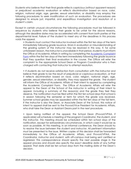Students who believe that their final grade reflects capricious (without apparent reason) or prejudiced academic evaluation or reflects discrimination based on race, color, religion, national origin, age, gender, sexual orientation, or disability may employ the following procedures to seek modification of such an evaluation. The procedures are designed to ensure just, impartial, and expeditious investigation and resolution of a student's claim.

Except in certain unusual circumstances the following procedures must be followed in sequence by students who believe their grade to be unfair for the above reasons, although the deadline dates may be accelerated with consent from both parties at the departmental level. Failure of the student to meet any of the deadlines in this process voids the appeal.

• Students must contact the instructor involved within the first ten days of the term immediately following grade issuance. Errors in evaluation or misunderstanding of the grading system of the instructor may be resolved in this way. If, for some unforeseen reason, the instructor is unavailable in that period, students must inform the Office of Academic Affairs in writing by completing the [Academic Complaint](https://pierpont.edu/sites/default/files/Complaint%20Form%20-%20Sheet%201a.pdf)  [Form](https://pierpont.edu/sites/default/files/Complaint%20Form%20-%20Sheet%201a.pdf) within the first ten days of the term immediately following the grade issuance that they question their final evaluation in the course. The Office will refer the complaint to the appropriate School Dean or Program Coordinator who is then charged with contacting that instructor to attempt resolution.

• If students do not receive satisfaction from consultation with the instructor and believe their grade to be the result of prejudicial or capricious evaluation, or that it reflects discrimination based on race, color, religion, national origin, age, gender, sexual orientation, or disability, they may appeal the grade. The student will inform the Office of Academic Affairs of their intent to appeal by completing the Academic Complaint Form. The Office of Academic Affairs will refer the appeal to the Dean of the School of the instructor in writing of their intent to appeal, including a summary of the reason(s) and the grade they feel they deserve. The notification must be filed within the first ten school days that school is in session following the semester or term for which the grade was received. Summer school grades may be appealed within the first ten days of the fall term. If the instructor is also the Dean, or Associate Dean of the School, this notice of intent to appeal shall be sent to the Provost/Vice President for Academic Affairs, who shall take the Dean or Assistant Deans part in the next procedure.

• Upon being notified of the appeal, the School Dean (Provost/VPAA, if applicable) will schedule a meeting of the program Coordinator, the student, and the instructor. This meeting should be scheduled within ten school days of the notification, except for extraordinary circumstances, in which case it would be as soon as possible. At this meeting, in an informal conference, the Dean should try to resolve the issue between the student and instructor. All pertinent information must be presented to the issue. Written copies of this decision shall be forwarded immediately to the Office of Academic Affairs, and Provost/VPAA, the Coordinator, instructor and student, with off-campus mail being sent certified or registered. This correspondence should specify the next possible stage in the appeal process and should also specify the exact deadline date of any further appeal. That date shall be ten school days from the mailing date of the Dean's decision.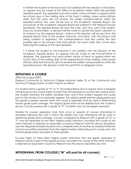• If either the student or the instructor is not satisfied with the decision of the Dean, an appeal may be made to the Office of Academic Affairs within the specified deadline period. The appealer must send written notice of intent to appeal within ten school days of the mailing date of the Dean's mailing, unless postal officials verify that the party did not receive the earlier correspondence within the specified period. The case will be sent to the Academic Appeals Board. The procedures of the Academic Appeals Board are outlined in the Pierpont Faculty Handbook. The Appeals Board will hear the case, and may call in the student, instructor and/or Dean. A decision will be made to uphold the Dean's decision or to reverse it by the Appeals Board. Notice of this decision will be sent from the Appeals Board Chair to the student, instructor, and Dean, with off-campus mail being certified or registered. This correspondence shall also outline the next possible step in this process and shall specify the exact date (ten school days following this mailing) of the next deadline.

• If either the student or the instructor is not satisfied with the decision of the Academic Appeals Board, an appeal may be made to the Provost/VPAA or designee. The appealer must send written notice of intent to appeal within ten school days of the mailing date of the Appeal Board Chair mailing, unless postal officials verify that the party did not receive the earlier correspondence within the specified period. The decision of the Provost/VPAA or designee is final.

# **REPEATING A COURSE**

(Effective August 2007)

Pierpont Community & Technical College enforces Series 22 of the Community and Technical College System of West Virginia as follows:

If a student earns a grade of "D" or "F" (including failure due to regular and/ or irregular withdrawal) on any course taken no later than the semester or summer term during which the student attempts the sixtieth semester hour, and if that student repeats this course prior to the receipt of an associate degree, the original grade shall be disregarded and the grade or grades earned when the course is repeated shall be used in determining his/her grade point average. The original grade shall not be deleted from the student's record. Courses passed with a grade of "C" or better may not be legally repeated.

Grades for courses repeated more than once or repeats of courses attempted in semesters following the one in which the sixtieth hour was attempted will be used to determine grade point average. Courses completed at Pierpont with a grade of "D" or "F" may be repeated at any West Virginia public institution, provided the course at the other institution is deemed an equivalent course by Pierpont and the above stipulations are met. Regularly enrolled students who complete work at another accredited institution must secure written permission from the registrar before attempting such course work. The transfer grade policy will apply to these grades.

Courses taken at other West Virginia public institutions that are legally repeated at Pierpont will be a part of the repeat process, provided the course at the other institution is deemed an equivalent course by Pierpont and the above stipulation are met.

# **WITHDRAWAL FROM COLLEGE ("W" will post for all courses)**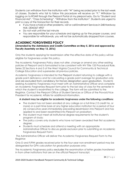Students can withdraw from the institution with "W" being recorded prior to the last week of classes. Students who fail to follow this procedure will receive an "F." Withdraw by logging on to ROAR through the Pierpont Portal at my.pierpont.edu. Go to "Student and Financial Aid", "Class Scheduling", "Withdraw from the Institution". Students are urged to print a copy of the transaction for their records.

- If you have a hold or other problems, visit or call Enrollment Services in 248 Hardway Hall. (304)367-4907
- Do not wait until the last minute
- You are responsible for your schedule and signing up for the proper courses, and responsible for withdrawals, you will not be automatically dropped from courses.

# **ACADEMIC FORGIVENESS POLICY**

#### **(Amended by the Admissions and Credits Committee on May 5, 2016 and approved by Faculty Assembly on May 13, 2016)**

Only the students applying for readmission after the effective date of this policy will be eligible for forgiveness under this policy.

The Academic Forgiveness Policy does not alter, change or amend any other existing policies at Pierpont and is formulated to be consistent with WV Title 135 Procedural Rule, Series 22 Sections 4 and 5 of the West Virginia Council for Community & Technical College Education and supersedes all previous policies.

Academic forgiveness is intended for the Pierpont student returning to college with a grade point deficiency and for calculating a grade point average for graduation only and are excluded from candidacy for Honors designation upon graduation. Students seeking Academic Forgiveness must meet with an Administrative Officer and complete an Academic Forgiveness Request form prior to the last day of class for the semester in which the student is readmitted to the college. The form will be submitted to the Registrar. Contact the Pierpont Office of Student Services or Office of the Provost/Vice President for Academic Affairs for additional information.

#### **A student may be eligible for academic forgiveness under the following conditions**:

- The student has not been enrolled at any college on a full-time (12 credit hrs. or more) or a part-time basis at any higher education institution for a period of four (4) consecutive years immediately preceding readmission into Pierpont and has applied to and been readmitted into Pierpont on probation;
- The student must meet all institutional degree requirements for the student's program of study;
- The policy covers only students who have not been awarded their first academic degree;
- Students must schedule and attend a meeting with an appropriate Administrative Officer to discuss grade exclusion prior to submitting an Academic Forgiveness Request Form;

The Administrative Officer will deliver the Academic Forgiveness Request Form to the Registrar;

Only D and F/FIW grades received prior to the four-year non-enrollment period may be disregarded for GPA calculation for graduation purposes only;

The Academic Forgiveness policy excludes the examination of letter grades transferred in from other institutions that are on the official Pierpont transcript;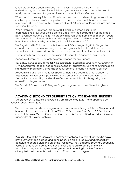Once grades have been excluded from the GPA calculation it is with the understanding that courses for which the D grades were earned cannot be used to satisfy any requirements for graduation and no credit will transfer over;

When and if all prerequisite conditions have been met, academic forgiveness will be applied upon the successful completion of at least twelve credit hours of courses numbered 1000 or above with a minimum GPA of 2.0, earned at Pierpont Community & Technical College.

When forgiveness is granted, grades of D, F and FIW earned prior to the aforementioned four-year period are excluded from the computation of the grade point average. However, no failing grade will be removed from the permanent record. The academic forgiveness policy may be applied after a student has earned 12 credit hours that apply toward graduation, with a minimum GPA of 2.0.

The Registrar will officially calculate the student GPA disregarding D, F/FIW grades earned before the return to college. However, grades shall not be deleted from the student transcript. No grade will be permanently removed from the student transcript.

Only currently enrolled students are eligible to apply for Academic Forgiveness.

Academic Forgiveness can only be granted once for any student.

**This policy pertains only to the GPA calculation for graduation** and does not pertain to GPA necessary for special academic recognition, graduation with honors, financial aid standards of progression, or admission requirements for certain programs of study.

Academic Forgiveness is institution specific. There is no guarantee that academic forgiveness granted by Pierpont will be honored by FSU or other institutions, and Pierpont is not bound by the decision of any other institution to disregard grades earned in college courses.

The Board of Governors AAS Degree Program is governed by a different forgiveness policy.

## **ACADEMIC SECOND OPPORTUNITY POLICY FOR TRANSFER STUDENTS**

(Approved by Admissions and Credits Committee, May 5, 2016 and approved by Faculty Senate, May 13, 2016)

This policy does not alter, change or amend any other existing policies at Pierpont and is formulated to be consistent with WV Title 135 Procedural Rule, Series 22, Sections 4 and 5 of the West Virginia Council for Community & Technical College Education and supersedes all previous policies.

**Purpose:** One of the missions of the community college is to help students who have previously attended college and done poorly be able to recover and successfully complete a degree plan and enter the workforce. The Academic Second Opportunity Policy is for transfer students who have never attended Pierpont Community & Technical College, are degree seeking and are transferring in with a GPA and attempted credit hours that will make it difficult to earn a degree.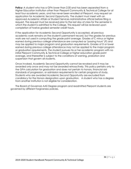**Policy:** A student who has a GPA lower than 2.00 and has been separated from a Higher Education Institution other than Pierpont Community & Technical College for at least four academic years, and has never been enrolled at Pierpont, may request an application for Academic Second Opportunity. The student must meet with an approved Academic Affairs or Student Services Administrative official before filing a request. The request must be received prior to the last day of class for the semester in which the student is admitted to the College. This request will be reviewed upon completion of twelve graded semester credit hours.

If the application for Academic Second Opportunity is accepted, all previous academic work remains on the student's permanent record, but the grades for previous work are not used in computing the grade point average. Grades of C minus or higher earned during previous college attendance are computed as "passing hours" (P) and may be applied to major program and graduation requirements. Grades of D or lower earned during previous college attendance may not be applied to the major program or graduation requirements. The student pursues his or her academic program with no initial Pierpont Community & Technical College or higher education grade point average, and thereafter is subject to the conditions of warning, probation and suspension that govern all students.

Once invoked, Academic Second Opportunity cannot be revoked and it may be awarded only once and may not be awarded retroactively. This policy pertains only to the GPA calculation for graduation and does not pertain to honors, financial aid standards of progression, or admission requirements for certain programs of study. Students who are awarded Academic Second Opportunity are excluded from candidacy for the Honors designation upon graduation. A student who has a degree from another institution is not eligible for consideration.

The Board of Governors AAS Degree program and readmitted Pierpont students are governed by different forgiveness policies.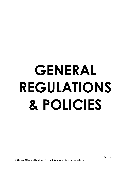# **GENERAL REGULATIONS & POLICIES**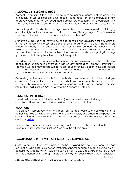# **ALCOHOL & ILLEGAL DRUGS**

Pierpont Community & Technical College does not permit or approve of the possession, distribution, or use of alcoholic beverages or illegal drugs on any campus, or in any approved residence, or by recognized campus organizations. This is consistent with Interpretive Rule, State College System of West Virginia Board of Directors, Series No. 42.

Pierpont's position is to firmly discourage the use of alcoholic beverages without infringing upon the rights of those persons protected by the law. The legal age in West Virginia for purchasing alcoholic liquor, wine, or non-intoxicating beer is 21.

Students are advised that they will be held responsible and disciplined for any violation of the law governing the use of alcohol or other illegal drugs. As adults, students are expected to obey the law and be responsible for their own conduct. Individuals found in violation of alcohol policies or state law, or whom display prohibited or disruptive behavior because of intoxication while on the premises, or while participating in college sponsored activity, may be subject to disciplinary action.

Individuals found violating municipal ordinances or state laws relating to the purchase or consumption of alcoholic beverages while on any campus of Pierpont Community & Technical College may also be subject to prosecution for the violation in the appropriate court. The imposition of disciplinary proceedings is not dependent upon nor determined by existence or outcome of any criminal prosecution.

Counseling services are available for students who are concerned about their drinking or drug abuse. They are there to listen to you, to help you understand the nature of alcohol and drug abuse and to suggest a program, if appropriate, to meet your needs. For more information, call (304)367-4792 or refer to the Academic Catalog.

# **CAMPUS SPEED LIMIT**

Speed limit on campus is 15 miles per hour (unless otherwise posted) during normal conditions. Drivers are expected to yield to and stop for pedestrians.

#### **VIOLATIONS**

By state law, Pierpont Community & Technical College Public Safety officials have the authority to issue parking and traffic citations, tow vehicles, and collect a civil penalty for any violation of these regulations. Details on Parking and Vehicle Regulations are available [online.](https://www.fairmontstate.edu/campuspolice/policies-and-procedures/parking-and-vehicle-regulations-students-faculty-staff)

Any questions concerning traffic or parking regulations should be directed to the Director of Public Safety at (304)367-4157 or to the officers on duty.

# **COMPLIANCE WITH MILITARY SELECTIVE SERVICE ACT**

State law provides that a male person who has attained the age of eighteen (18) years may not enroll in a state-supported institution of postsecondary education unless he is in compliance with the Military Selective Service Act (50 U.S. Code, Appendix 451, et seq. and the amendments thereto). A male person may not receive a loan, grant, scholarship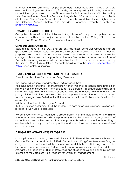or other financial assistance for postsecondary higher education funded by state revenue, including federal funds or gifts and grants accepted by this State, or receive a student loan guaranteed by the State unless he is in compliance with the Military Selective Service Act. Selective Service Act registration information should be available at all United States Postal Service facilities and may be available at some high schools. The Selective Service System also provides information through a web site, [http://www.sss.gov.](http://www.sss.gov/)

### **COMPUTER ABUSE POLICY**

Computer abuse will not be tolerated. Any abuse of campus computers and/or computing facilities is also subject to applicable sections of the "College Standards of Personal and Group Conduct" contained in this handbook.

#### **Computer Usage Guidelines**

Users are to have a valid UCA and are only use those computer resources that are specifically authorized. Users may only use their UCA in accordance with its authorized purpose. Users should not let another person use their UCA. Passwords should be changed often to ensure that private and secure files are kept safe. Abuse or misuse of Pierpont computing resources will also be subject to disciplinary action as determined by the Pierpont Chief Judicial Officer. Students should refer to the [Pierpont Acceptable Use](http://www.pierpont.edu/ctcboa/policies/bogpolicies/pctc_policy_53.pdf)  [Policy](http://www.pierpont.edu/ctcboa/policies/bogpolicies/pctc_policy_53.pdf) for complete guidelines.

# **DRUG AND ALCOHOL VIOLATION DISCLOSURES**

Parental Notification of Alcohol and Drug Violations

The Higher Education Amendments of 1998 provides that:

"Nothing in this Act or the Higher Education Act of 1965 shall be construed to prohibit an institution of higher education from disclosing, to a parent or legal guardian of a student, information regarding any violation of any Federal, State, or local law, or of any rule or policy of the institution, governing the use or possession of alcohol or a controlled substance, regardless of whether that information is contained in the student's education record, if -

(A) the student is under the age of 21; and

(B) the institution determines that the student has committed a disciplinary violation with respect to such use or possession."

Pierpont Community & Technical College Policy: Per the guidelines of the Higher Education Amendments of 1998, Pierpont may notify the parents or legal guardians of students who are involved in disruptive or inappropriate behavior or incidents resulting in residence hall or campus disciplinary action and which involves the use or possession of alcohol or drugs.

# **DRUG-FREE AWARENESS PROGRAM**

In compliance with the Drug-Free Workplace Act of 1988 and the Drug-Free Schools and Communities Act Amendments of 1989, Pierpont has a Drug-Free Awareness Program designed to prevent the unlawful possession, use, or distribution of illicit drugs and alcohol by students and employees. Further employment inquiries may be directed to the Assistant Vice President of Human Resources and student issues and concerns may be directed to the Associate Vice President for Enrollment Management.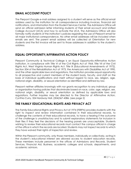# **EMAIL ACCOUNT POLICY**

The Pierpont Google e-mail address assigned to a student will serve as the official email address used by the institution for all correspondence including invoices, financial aid notifications, and information from the Student Services Center. The Admissions Office will send an official admission letter informing students of their email account and Unified College Account (UCA) and how to activate the UCA. The Admissions Office will also formally notify students of the institution's policies regarding the use of Pierpont email for all major institutional correspondence. No other email addresses will be included when emails are sent. The parent email address will be collected at Orientation for new students and the first invoice will be sent to those addresses in addition to the student's address.

# **EQUAL OPPORTUNITY/AFFIRMATIVE ACTION POLICY**

Pierpont Community & Technical College is an Equal Opportunity-Affirmative Action institution. In compliance with Title VI of the Civil Rights Act of 1964, Title VII of the Civil Rights Act, West Virginia Human Rights Act, Title IX (Educational Amendments of 1972), Section 504 of the Rehabilitation Act of 1973, the Americans with Disabilities Act of 1990, and the other applicable laws and regulations, the institution provides equal opportunity to all prospective and current members of the student body, faculty, and staff on the basis of individual qualifications and merit without regard to race, sex, religion, age, national origin, disability, or sexual orientation as identified and defined by law.

Pierpont neither affiliates knowingly with nor grants recognition to any individual, group or organization having policies that discriminate based on race, color, age, religion, sex, national origin, disability, or sexual orientation as defined by applicable laws and regulations. Further inquiries may be directed to the Director of Affirmative Action, Cynthia Curry, 324 Hardway Hall, (304)367-4386. (see page 2)

# **THE FAMILY EDUCATIONAL RIGHTS AND PRIVACY ACT**

The Family Educational Rights and Privacy Act of 1974 (FERPA) provides students with the right to inspect and review information contained in their educational records, to challenge the contents of their educational records, to have a hearing if the outcome of the challenge is unsatisfactory and to submit explanatory statements for inclusion in their files if they feel the decisions of the hearing panels are unacceptable. Students wishing to review their educational records must contact the campus official in charge of the office in which the records are located. Students may not inspect records to which they have waived their rights of inspection and review.

Within the Pierpont community, only those members, individually or collectively, acting in the student's educational interest are allowed access to student education records. These members include personnel in the offices of Admissions and Records, Student Services, Financial Aid, Business, academic colleges and schools, departments, and academic advisors.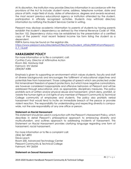At its discretion, the institution may provide Directory Information in accordance with the provisions of the Act to include: student name, address, telephone number, date and place of birth, major field of study, dates of attendance, degrees and awards received, the most recent previous educational agency or institution attended by the student, participation in officially recognized activities. Students may withhold directory information by notifying the Student Services Center in writing.

Pierpont may disclose academic information to parents of students by having parents establish the student's dependency as defined by the Internal Revenue Code of 1954, Section 152. Dependency status may be established by the presentation of a certified copy of the parents' most recent federal income tax form listing the student as a dependent.

FERPA forms may be found on the registrar site, [https://www.pierpont.edu/sites/default/files/forms/Student\\_Affairs/FERPAFormPierpont1](https://www.pierpont.edu/sites/default/files/forms/Student_Affairs/FERPAFormPierpont12_7_16.pdf) [2\\_7\\_16.pdf](https://www.pierpont.edu/sites/default/files/forms/Student_Affairs/FERPAFormPierpont12_7_16.pdf)

# **HARASSMENT POLICY**

For more information or to file a complaint, call: *Cynthia Curry, Director of Affirmative Action Room 324, Hardway Hall Fairmont, WV 26554 (304)367-4386*

Emphasis is given to supporting an environment which values students, faculty and staff of diverse backgrounds and encourages the fulfillment of educational objectives and potentials free from harassment. Those categories of speech which are protected under First Amendment freedom of speech protections, but which have negative connotations, are however considered inappropriate and offensive behaviors at Pierpont and will be addressed through educational, and, as appropriate, disciplinary measures. The policy prohibits acts of written and/or physical abuse and harassment, which deny, prohibit, or violate the human rights or civil rights of any member of Pierpont Community & Technical College community of employees and students. The policy also prohibits verbal harassment that would tend to incite an immediate breach of the peace or provoke violent reaction. The responsibility for understanding and respecting diversity is campuswide, not the sole responsibility of any one office or person.

#### **Statement on Racial Harassment**

This statement should be used in conjunction with the Pierpont's Harassment Policy, which describes in detail Pierpont's philosophical approach to embracing diversity and multiculturalism, and outlines approach to addressing incidents of harassment. This Statement on Racial Harassment provides clarifying language regarding one form of harassment, racial harassment.

For more information or to file a complaint call: (304) 367-4892 Steve Leach Room 200, Advanced Technology Center Pierpont Community & Technical College Fairmont, WV 26554

#### **Statement on Sexual Harassment**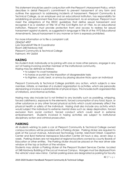This statement should be used in conjunction with the Pierpont's Harassment Policy, which describes in detail Pierpont's commitment to prevent harassment of any form and outlines the approach to addressing incidents of harassment. Pierpont Community & Technical College, as an employer and an educational institution, has responsibility for establishing an environment free from sexual harassment. As an employer, Pierpont must meet the obligations of the EEOC guidelines that define sexual harassment and recognize it as a violation of Title VII of the Civil Rights Act of 1964. As an educational institution, Pierpont must provide protection from and access to redress for sexual harassment against students, as suggested in language in Title IX of the 1972 Educational Amendments. Sexual harassment in any manner or form is expressly prohibited.

For more information or to file a complaint call: (304)367-4907 Lyla Grandstaff Title IX Coordinator Room 248 Hardway Hall Pierpont Community & Technical College Fairmont, WV 26554

### **HAZING**

No student shall, individually or by joining with one or more other persons, engage in any act of hazing involving another member of the institutional community. Hazing may be defined as follows:

- to subject to cruel horseplay
- to harass or punish by the imposition of disagreeable tasks
- to frighten, scold, beat, or annoy by playing abusive tricks upon an individual

Pierpont Community & Technical College prohibits any action, which subjects a new member, initiate, or member of a student organization to activities, which are personally demeaning or involve a substantial risk of physical injury. This includes both organized rites of initiations, and informal activities.

Hazing may also include but is not limited to any brutality such as paddling, whipping, forced calisthenics, exposure to the elements, forced consumption of any food, liquor, or other substance or any other forced physical activity which could adversely affect the physical health or safety of the individual. Hazing shall also include any activity which would subject the individual to extreme mental stress such as: sleep deprivation, forced exclusion from social contact, forced conduct which could result in extreme embarrassment. Students involved in hazing activities are subject to institutional disciplinary action and criminal prosecution.

# **PARKING**

All students wishing to park a car at Pierpont Community & Technical College owned campus locations will be provided with a Parking sticker. Parking sticker are required to park at the Locust Avenue, Advanced Technology Center, Merchant Street, Caperton Center and Byrd National Aerospace Education Center 24 hours a day, seven days a week. Parking stickers are not required at regional locations owned by county Boards of Education or other entities. The Parking sticker should be placed on the rear driver side window at the top or bottom of the window.

Students may obtain a Parking sticker at the Pierpont Student Services Center, located at 248 Hardway Building of the Locust Avenue Campus. Hangers must be displayed from the vehicle's rear-view mirror. Certain parking areas are designated as parking for faculty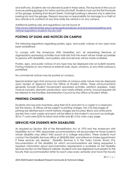and staff only. Students are not allowed to park in these areas. The top level of the Locust Avenue parking garage is for visitors and faculty/staff. Students must use the first five levels of the garage, entering from Bryant Street. Overnight parking is allowed only in selective parking lots and the garage. Pierpont assumes no responsibility for damage to or theft of any vehicle or its contents at any time while the vehicle is on any campus.

Additional parking rules and regulations can be found at [http://www.fairmontstate.edu/campuspolice/policies-and-procedures/parking-and](http://www.fairmontstate.edu/campuspolice/policies-and-procedures/parking-and-vehicle-regulations-students-faculty-staff)[vehicle-regulations-students-faculty-staff](http://www.fairmontstate.edu/campuspolice/policies-and-procedures/parking-and-vehicle-regulations-students-faculty-staff)

# **POSTING OF SIGNS AND NOTICES ON CAMPUS**

The following regulations regarding posters, signs, and public notices of any type have been established:

To comply with the Americans With Disabilities Act, all advertising literature of organizations sponsoring activities must indicate that the event will be made accessible to persons with disabilities, and auxiliary aids and services will be made available.

Posters, signs, and public notices of any type may be displayed only on bulletin boards. Posting material on any internal or external walls, doors, windows, or any other surfaces is prohibited.

No commercial notices may be posted on campus.

Special exterior signs that announce activities of campus-wide nature may be displayed upon receipt of approval from the Office of Student Affairs. These announcements generally include Student Government sponsored activities, platform speakers, major musical concerts, dramatic productions, and varsity athletic events. Unusual requests will be referred to the Facilities Administration Council by the Office of Student Affairs.

# **PRINTING CHARGES**

Students who log onto machines using their UCA and print to a copier in a classroom, lab the Library, or offices will be subject to printing charges. Ten (10) free pages of printing are allotted each month before charges are incurred. Black and white prints are less than color copies and each will be billed to the student's account accordingly. 2016-17 costs were \$.05 for black and white and \$0.15 for color copy page.

# **SERVICES FOR STUDENTS WITH DISABILITIES**

As required by Section 504 of the Rehabilitation Act of 1973 and the Americans with Disabilities Act of 1990, reasonable accommodations will be provided for those students whose disability may affect their pursuit of a college education. These students must contact the Disability Services office at (304)333-3661 and attend an intake appointment if these services are desired. Disability Services is in the Turley Center, Room 316. Documentation of the disability for which accommodations are being requested is required. Information about documentation requirements is available on the Disability Services section on the Pierpont website. Students who are registered must present to the faculty their accommodation letter for each class every semester and have the faculty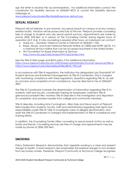sign the letter to receive the accommodations. For additional information contact the coordinator for Disability Services at (304)367-4073 or consult the Disability Services webpage at:

[www.pierpont.edu/studentlife/disabilityservices default.asp.](https://pierpont.edu/current-students/student-services/disability-services) 

# **SEXUAL ASSAULT**

Pierpont will not tolerate, in any manner, any sexual assault on campus or at any campus related facility. Violators will be prosecuted fully of the law. Pierpont provides counseling free of charge to students who are sexual assault survivors. Appointments are made by phone (304) 333-3661 or in person at the Counseling Center during regular hours of operation (M-F, 8-4). If crisis counseling is required after hours, an individual can contact:

- Hope Inc.: Domestic Violence Center in Fairmont at (304)367-1100.
- Rape, Abuse, and Incest National Network Hotline at (1800)-656-HOPE (4673). It is a national 24-hour hotline that can be accessed anywhere in the United States.
- WV Foundation for Rape Information & Services: <http://www.fris.org/CrisisCenters/WVCrisisCenters.html>

See the Title IX Web page and BOG policy 9 for additional information. <https://www.pierpont.edu/faculty-staff/shared-administration/human-resources/title-ix> [https://www.pierpont.edu/sites/default/files/BOG\\_P09.pdf](https://www.pierpont.edu/sites/default/files/BOG_P09.pdf)

In accordance with Title IX regulations, the institution has designated Lyla Grandstaff VP Student Services and Enrollment Management as Title IX Coordinator. She is charged with monitoring compliance with these regulations. Questions regarding Title IX, as well as concerns and complaints of non-compliance, may be directed to her at (304)367- 4907.

The Title IX Coordinator oversees the dissemination of information regarding Title IX to students, staff and faculty; coordinates training for employees; maintains Title IX grievance/complaint files; monitors Title IX Deputies in the investigation and disposition of complaints; and answers inquiries from college and community members.

Title IX deputies, including Amy Cunningham, Jillian Sole and Steve Leach at Pierpont field inquiries from students, faculty, staff and administrators regarding their rights and responsibilities under Title IX; help to investigate cases of alleged discrimination; and assist the Title IX Coordinator in oversight and implementation of Title IX compliance and training efforts.

In addition, the Counseling Center offers counseling to sexual assault victims as well as family and friends. Counseling services are free of charge and appointments may be made by phone at (304) 333-3661.

# **SMOKING**

Policy Statement: Research demonstrates that cigarette smoking is a clear and present danger to health. Current research also emphasizes the extreme danger to non-smokers from secondary smoke. Therefore, Pierpont Community & Technical College recognizes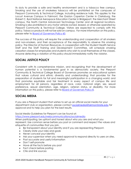its duty to provide a safe and healthy environment and is a tobacco free campus. Smoking and the use of smokeless tobacco will be prohibited on the campuses of Pierpont Community & Technical College, including residence halls. This applies to the Locust Avenue Campus in Fairmont, the Gaston Caperton Center in Clarksburg, the Robert C. Byrd National Aerospace Education Center in Bridgeport, the Merchant Street campus, the North Central Advanced Technology Center and all regional locations. Smoking is also prohibited in any motor vehicle owned, leased, or otherwise operated by Pierpont Community & Technical College. Visitors are expected to comply with this policy. Tobacco products will not be sold on campus. For more information on this policy, please refer to [Board of Governors Policy 60.](http://www.pierpont.edu/sites/default/files/Policy%20No.%20%2060%20-%20Tobacco%20Free%20Campus%20-%20Final%20Approved%20by%20BOG%20on%204-28-2015.pdf)

The success of this policy will require the understanding and cooperation of all smokers and non-smokers, and their acceptance of the responsibility to observe this smoking policy. The Director of Human Resources, in cooperation with the Student Health Service Staff and the Staff Training and Development Committee, will schedule smoking cessation classes for employees and students who wish to avail themselves of the classes. Anyone detecting a violation of this policy should immediately notify the violator.

# **SOCIAL JUSTICE POLICY**

Consistent with its comprehensive mission, and recognizing that the development of human potential is a fundamental goal in as democratic society, the Pierpont Community & Technical College Board of Governors promotes an educational system that values cultural and ethnic diversity and understanding; that provides for the preparation of students for full and meaningful participation in a changing world; and that promotes equitable and fair treatment in every aspect of campus life and employment for all persons, regardless of race, color, national origin, sex, sexual preference, sexual orientation, age, religion, veteran status, or disability. For more information on this policy, please refer to [Board of Governors Policy 8.](http://www.pierpont.edu/files/pierpont/u419/files/pctc_policy_08.pdf)

# **SOCIAL MEDIA**

If you are a Pierpont student that wishes to set up an official social media for your department club or organization, please contact [socialmedia@fairmontstate.edu](mailto:socialmedia@fairmontstate.edu) for approval and to help you plan for the best results.

Social Media Guidelines for Pierpont can be found at:

<https://www.pierpont.edu/webcommunications/socialmedia>

When participating, be upfront and honest about who you are and what you represent. Use common sense before you post or comment and respect the values and etiquette of communities that you join.

- Be transparent about your identity and if you are representing Pierpont.
- Clearly state your roles and goals
- Never conceal your identity
- Ask your supervisor when you need approval to respond directly to users on sites.
- Post accurate and useful information
- Don't self-promote
- Have all the facts before you post
- Fact check before posting
- Cite and link sources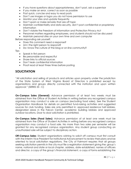- If you have questions about appropriateness, don't post, ask a supervisor
- If you make an error, correct as soon as possible
- Post quick, concise and easy to read posts
- Don't use images or logos you do not have permission to use
- Monitor your sites and update frequently
- Don't spam or make remarks that are off topic
- Maintain confidentiality and data security, don't post confidential or proprietary information
- Don't violate the Freedom of Information and Protection Privacy Act
- Personnel matters regarding employees, and students should not be discussed
- Maintain personal sites on your own time and own computer

Before responding ask yourself:

- Does this comment need a response?
- Am I the right person to respond?
- Do I know the culture of the blog or on-line community?

Tips

- Speak in first person
- Be personable and respectful
- Share links to official sources
- Don't leak confidential information
- Proof read at least three times before posting

# **SOLICITATION**

"All solicitation and selling of products and articles upon property under the jurisdiction of the State System of West Virginia Board of Directors is prohibited except by organizations and groups directly connected with the institution and upon written approval." (SERIES 55 - C)

**On-Campus Sales (General)**: Advance permission of at least two weeks must be obtained from the Office of Student Activities in writing before any recognized campus organization may conduct a sale on campus (excluding food sales). See the Student Organization Handbook for details on permitted fund-raising activities and suggested sources for club funding. Sales are only permitted in: approved residence hall lobbies, designated areas in the Falcon Center, academic building lobbies and approved outdoor locations. Door to door solicitation is prohibited.

**On-Campus Sales (Food Sales)**: Advance permission of at least one week must be obtained from the Office of Student Activities in writing before any recognized campus organization may conduct a food sale. No more than two sales per semester will be granted for any recognized campus organization. Any student group conducting an unauthorized sale will be subject to disciplinary action.

**Off-Campus Sales**: Student organizations wishing to solicit off campus must first consult with the Interim Vice President for Institutional Advancement to review their plans and be oriented to local solicitation regulations. The City of Fairmont requires that all groups seeking solicitation permits in the city must file a registration statement giving the: group's name, national and state or local chapter, address, date established, names of officers and director, a copy of the group's financial statement, a copy of forms establishing the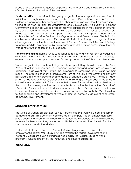group's tax-exempt status, general purpose of the fundraising and the persons in charge of collection and distribution of the proceeds.

Funds and Gifts: No individual, firm, group, organization, or corporation is permitted to solicit funds through sales, services, or donations on any Pierpont Community & Technical College campus for either commercial or charitable purposes without authorization in writing of the Vice President for Organization and Development. No student of Pierpont Community & Technical College has authority to participate in the solicitation of funds by sales or through donations, with intention stated or implied that funds so received are to be used for the benefit of Pierpont or the students of Pierpont without written authorization of the Vice President for Organization and Development. This limitation applies to activities either on or off campus. No individual, firm, group, organization, or other agency has authority to use the name of Pierpont Community & Technical College to secure funds for any purpose, by any means, without the written permission of the Vice President for Organization and Development.

**Lotteries and Raffles**: Raising funds using lotteries, raffles, or any other form of wagering is restricted by West Virginia State law and by Pierpont Community & Technical College regulations. Any on-campus lottery must first be approved by the Office of Student Affairs.

Student organizations contemplating an off-campus lottery should contact the Vice President for Organization and Development. A price charged for an item for sale or for admission to an event must entitle the purchaser to something of full value for their money. The practice of offering for sale some item of little value whereby the holder may participate in a lottery drawing or other game of chance is prohibited. The use of "door prizes" at dances or other social events is legal so long as those paying the price of admission are provided with full value in entertainment for the price paid, and so long as the door prize drawing is incidental and used only as a minor feature of the "Occasion". "Door prizes" may not be solicited from local business firms. Exceptions to this rule must be cleared through the Office of Student Affairs in conjunction with the Vice President for Organization and Development where an unusual campus-wide event necessitates community involvement.

# **STUDENT EMPLOYMENT**

The Office of Student Employment serves Pierpont students wanting a part-time job on campus or a part-time community service job off-campus. Student employment jobs give students the opportunity to earn extra money, learn valuable skills and experience to take with them when they graduate, and build valuable relationships with faculty, staff, supervisors and other students.

Federal Work Study and Auxiliary Student Workers Programs are available for employment. Federal Work Study is funded through the federal government and Pierpont. Awards are given on financial need basis. The Auxiliary Student Worker program is funded directly by the institution, and is not needs based.

# **WEAPONS**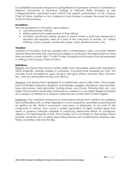It is prohibited to possess weapons including firearms on property owned or controlled by Pierpont Community & Technical College or Fairmont State University at any College/University sponsored event without the explicit authorization of the Campus Chief of Police, whether or not a federal or state license to possess the same has been issued to the possessor.

#### **Exceptions**

The only exceptions to this policy are as follows:

- Law enforcement officers
- Military personnel in performance of their official
- University sanctioned classes, groups or events where a particular weapon(s) is required and regularly used as a part of the curriculum or activity, i.e. various Criminal Justice courses, martial arts classes, clubs, theatrical events, etc.

#### **Violation**

Violation of this policy shall be charged with a misdemeanor Upon conviction thereof shall be fined not more than one thousand dollars or confined in the regional jail not more than six months, or both. (§61-7-14 WV Code). Exceptions to this policy may be requested in writing to the Campus Chief of Police.

#### **Definitions**

Firearm: Any device that shoots a bullet, pellet, flare, tranquilizer, spear dart, paintball or other projectile, whether loaded or unloaded, including those powered by CO2. This includes, but is not limited to, guns, air guns, dart guns, pistols, revolvers, rifles, cannons, etc., and any ammunition for any such device.

Weapon: Any device that is designed to or traditionally used to inflict harm. This includes, but is not limited to firearms, slingshots, switchblades, daggers, blackjacks, brass knuckles, bows and arrows, hand grenades, hunting knives, nun-chucks, throwing stars, etc.; any object that could be reasonably construed as a weapon; or any object legally controlled as a weapon or treated as a weapon under the laws of the State of West Virginia.

Explosives: Any chemical compound or mechanical mixture that contains any oxidizing and combustible units, or other ingredients, in such proportion, quantities or packing that an ignition by fire, friction, concussion, percussion, or detonator, or any part of the compound or mixture, may cause a sudden generation of highly heated gases that results in gaseous pressures capable of producing destructive efforts on contiguous objects or of destroying life or limb. This includes, but is not limited to, firecrackers, black powder, dynamite, etc. as well as detonating devices such as detonators, blasting caps, timers, incendiary wire and the like.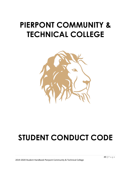# **PIERPONT COMMUNITY & TECHNICAL COLLEGE**



# **STUDENT CONDUCT CODE**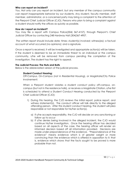#### **Who can report an incident?**

You. Not only can you report an incident, but any member of the campus community can report inappropriate behavior by our students. Any student, faculty member, staff member, administrator, or a concerned party may bring a complaint to the attention of the Pierpont Chief Judicial Officer (CJO). Persons who plan to bring a complaint against a student should notify the offices as quickly as possible.

#### **How do I report an incident?**

You may file a report with Campus Police(304) 367-4157), through Pierpont's Chief Judicial Officer by contacting 248 Hardway Hall (304)367-4907.

The written report should include date; times; student(s) involved; witness(es); a factual account of what occurred (no opinions); and a signature.

Once a report is received, it will be investigated and appropriate action(s) will be taken. If the student is deemed to be an immediate threat to an individual or the campus community, s/he will be removed from campus pending the completion of the investigation. The student has the right to appeal.

#### **The Judicial Process: The Nuts and Bolts**

Below is the abbreviated version of the judicial process.

#### **Student Conduct Hearing:**

Off-Campus, On-Campus (not in Residential Housing), or Magistrate/City Police Involvement:

When a Pierpont student violates a student conduct policy off-campus, oncampus (but not in the residence halls), or receives a Magistrate Citation, s/he first is scheduled to attend a Student Conduct Hearing conducted by the Pierpont Chief Judicial Officer (CJO);

- 1) During this hearing, the CJO reviews the initial report, police report, and witness statement(s). The conduct officer will talk directly to the alleged offending person. After this student conduct hearing, the student will plea responsible or not responsible for his/her action(s).
	- a) If s/he accepts responsibility, the CJO will decide on any sanctioning or follow up to occur
	- b) If s/he denies being involved in the alleged incident, the CJO would continue his/her investigation. Once the hearing officer has decided based on all aspects of the case, the hearing officer will render an informed decision based off all information provided. Decisions are made under preponderance of the evidence. "Preponderance of the evidence" means evidence which is of greater weight or more convincing than the evidence which is offered in opposition to it; that is, evidence which shows that the facts sought to be proved is more probable than not.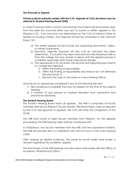#### **The Grounds to Appeal**

#### **Primary judicial authority resides with the CJO. Appeals of CJOs decisions may be referred to Student Hearing Board (SHB).**

In cases involving student conduct sanctioning, the student has five business days from the date the outcome letter was sent to submit a written appeal to the Pierpont CJO. If an outcome was determined by the CJO of Fairmont State as related to housing matters, and response should be forwarded to the Fairmont State CJO.

- a) The written appeal should include any supporting documents, videos, or witness statements.
- b) Sanctions originally imposed will stay until an outcome has been determined. If a student has been removed from the residence halls or from the college this may remain in place until the appeal process is complete, especially when there is perceived danger.
- c) The appropriate CJO will review the records and supporting documents to consider the following:
	- a. Affirm the finding of responsibility
	- b. Affirm the finding of responsibility and reduce but not eliminate the sanction(s) or
	- c. Remand the case to the same or a new Hearing Officer

Grounds for an appeal are considered if any of the following are met:

- 1) New evidence is available that was not present at the time of the original hearing.
- 2) A violation of due process or material deviation from substantive and procedural standards.

#### **The Student Hearing Board**

The Student Hearing Board hears all appeals. The SHB is composed of faculty members elected by Pierpont Faculty Senate. The Board hears cases as directed by the CJO (see grounds to appeal). The CJO will notify the chairperson of the SCAB.

The SHB shall consist of eight faculty members from Pierpont. For the appeals proceeding, the SHB hearing cases shall be constituted with:

A chairperson, two faculty members from the SHB, and two appointed students. The SHB will annually elect a chairperson who will not have a vote when hearing cases.

After hearing all related evidence, the panel by secret ballot shall render a decision regarding the academic appeal.

The final review of the SHB hearings and discussions shall reside with the Office of Academic Affairs/Provost Office.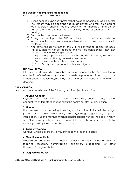#### **The Student Hearing Board Proceedings**

Below is a synapse of a SHB hearing:

- 1) During hearing(s), no party present shall be accompanied by legal counsel. The student may be accompanied by an advisor who may be a parent, legal guardian, another student, faculty, or staff member. If that person happens to be an attorney, that person may not act as attorney during the hearing.
- 2) Both parties may present witnesses.
- 3) During the hearing(s), the SHB may hear and consider any relevant information. The determination of what is and is not relevant rests solely with the Pierpont CJO.
- 4) After reviewing all information, the SHB will convene to decide the case. This discussion will not be recorded and must be confidential. They may render one of the following decisions:
	- a) Impose appropriate sanctions which may be disciplinary suspension from classes and being banned from campus, or
	- b) Grant the appeal and dismiss the case, or
	- c) Public Safety must a conduct further investigation.

#### **THE FINAL APPEAL**

If the student desires, s/he may submit a written appeal to the Vice President of Academic Affairs/Provost (academicaffairs@pierpont.edu). Based upon the written documentation, he/she may uphold the original decision or reverse the decision.

#### **THE VIOLATIONS**

A student that commits any of the following acts is subject to sanction:

#### **1-Abusive Conduct**

Physical abuse, verbal abuse, threats, intimidation, coercion and/or other conduct which threatens or endangers the health or safety of any person.

#### **2-Alcohol**

Use, possession, manufacturing, furnishing, or distribution of alcoholic beverages (except as expressly permitted by University/College regulations), or public intoxication. Students may not furnish alcohol to a person under the age of twentyone. Students may not operate a motor vehicle under the influence of alcohol or while impaired by the consumption of alcohol.

#### **3-Disorderly Conduct**

Conduct which is disorderly, lewd, or indecent; breach of peace.

#### **4-Disruption of Activities**

Disruption or obstruction of, or leading or inciting others to disrupt or obstruct, teaching, research, administration, disciplinary proceedings, or other University/College activities.

#### **5-Drug Possession/Use**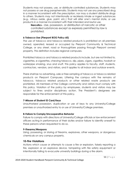Students may not possess, use, or distribute controlled substances. Students may not possess or use drug paraphernalia. Students may not use any prescribed drug in a manner inconsistent with the prescription, nor may a student distribute drugs to others. Students may not intentionally or recklessly inhale or ingest substances (e.g., nitrous oxide, glue, paint, etc.) that will alter one's mental state, or use products in a manner inconsistent with their intended and lawful use.

**Narcotics -** Use, possession, or distribution of narcotic or other controlled substances except as expressly permitted by law is prohibited.

#### **6-Tobacco Use (Pierpont BOG Policy 60)**

The use of tobacco and tobacco related products is prohibited on all premises owned, operated, leased or occupied by Pierpont Community & Technical College, or any street, road or thoroughfare passing through Pierpont owned property. This definition includes regional campuses.

Prohibited tobacco and tobacco related products include, but are not limited to, cigarettes, e-cigarettes, chewing tobacco, dip, pipes, cigars, cigarillos, hookah or waterpipe smoking, snus and snuff. This policy applies to faculty, staff, students, contractors, vendors, and visitors, and it applies to all indoor and outdoor events.

There shall be no advertising, sale or free sampling of tobacco or tobacco related products on Pierpont Campuses. Littering the campus with the remains of tobacco, tobacco related products or other related waste products are prohibited. All members of the College community and visitors must comply with this policy. Violation of the policy by employees, students and visitors may be subject to fines and/or disciplinary action. The President's designees are responsible for the enforcement of this policy.

#### **7-Misuse of Student ID Card/Keys**

Unauthorized possession, duplication or use of keys to any University/College premises or unauthorized entry to or use of University/College premises.

#### **8-Failure to Comply/Uncooperative Behavior**

Failure to comply with directions of University/College officials or law enforcement officers acting in performance of their duties and/or failure to identify oneself to these persons when requested to do so.

#### **9-Firearms/Weapons**

Using, possessing, or storing of firearms, explosives, other weapons, or dangerous chemicals on any campus property.

#### **10-Fire Violations**

Actions which cause or attempts to cause a fire or explosion, falsely reporting a fire, explosion or an explosive device, tampering with fire safety equipment or intentionally failing to evacuate university buildings during a fire alarm.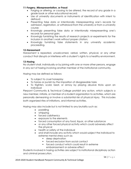#### **11-Forgery, Misrepresentation, or Fraud**

- Forging or altering, or causing to be altered, the record of any grade in a grade book or other educational record;
- Use of university documents or instruments of identification with intent to defraud;
- Presenting false data or intentionally misrepresenting one's records for admission, registration, or withdrawal from the university or from a university course;
- Knowingly presenting false data or intentionally misrepresenting one's records for personal gain;
- Knowingly furnishing the results of research projects or experiments for the inclusion in another's work without proper citation;
- Knowingly furnishing false statements in any university academic proceeding.

#### **12-Harassment**

Harassment is repeated, unwelcomed, verbal, written, physical, or any other conduct that disrupts or interferes with a student's rights to a healthy environment.

#### **13-Hazing**

No student shall, individually or by joining with one or more other persons, engage in any act of hazing involving another member of the institutional community.

Hazing may be defined as follows:

- To subject to cruel horseplay
- To harass or punish by the imposition of disagreeable tasks
- To frighten, scold, beat, or annoy by playing abusive tricks upon an individual

Pierpont Community & Technical College prohibit any action, which subjects a new member, initiate, or member of a student organization to activities, which are personally demeaning or involve a substantial risk of physical injury. This includes both organized rites of initiations, and informal activities.

Hazing may also include but is not limited to any brutality such as:

- paddling
- whipping
- forced calisthenics
- exposure to the elements
- forced consumption of any food, liquor, or other substance
- or any other forced physical activity which could adversely affect the physical
- health or safety of the individual
- and shall include any activity which would subject the individual to extreme mental stress such as:
	- **•** sleep deprivation
	- forced exclusion from social contact
	- forced conduct which could result in extreme embarrassment or adverse effect

Students involved in hazing activities are subject to institutional disciplinary action and criminal prosecution.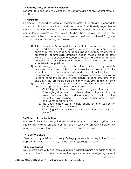#### **14-Federal, State, or Local Law Violations**

Federal, State and local law violations include a violation of any federal, state, or local law.

#### **15-Plagiarism**

Plagiarism is defined in terms of prohibited acts. Students are expected to understand that such practices constitute academic dishonesty regardless of motive. Those who deny deceitful intent, claim not to have known that the act constituted plagiarism, or maintain that what they did was inadvertent are nevertheless subject to penalties when plagiarism has been confirmed. Plagiarism includes, but is not limited to, the following:

- 1) Submitting as one's own work the product of someone else's research, writing, artistic conception, invention, or design; that is, submitting as one's own work any report, notebook, speech, outline, theme, thesis, dissertation, commercially prepared paper, musical piece or other written, visual, oral or electronic/computerized material that has been copied in whole or in part from the work of others, whether such source is published or unpublished;
- 2) Incorporating in one's submission, without appropriate acknowledgment and attribution, portions of the works of others; that is, failing to use the conventional marks and symbols to acknowledge the use of verbatim and near-verbatim passages of someone else's work or failing to name the source of words, pictures, graphs, etc., other than one's own, that are incorporated into any work submitted as one's own.
- 3) Cheating and dishonest practices in connection with examinations, papers, and projects including, but not limited to:
	- a. Obtaining help from another student during examinations;
	- b. Knowingly giving help to another student during examinations, taking an examination or doing academic work for another student, or providing one's own work for another student to copy and submit as his/her own;
	- c. The unauthorized use of notes, books, or other sources of information during examinations;
	- d. Obtaining without authorization an examination or any part thereof.

#### **16-Physical Assault or Battery**

The use of physical force against an individual or acts that cause physical injury. Intentionally making physical contact of an insulting or provoking nature with another person or intentionally causing harm to another person.

#### **17-Policy Violations**

Violation of any published University/College policies, rules or regulations in hard copy or available electronically on the University/College websites.

#### **18-Sexual Assault**

Sexual intercourse with, and/or sexual intrusion against, a person capable of giving consent, without such person's consent, or a person incapable of giving consent;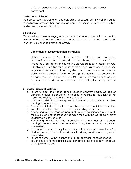a. Sexual assault or abuse, statutory or acquaintance rape, sexual harassment.

#### **19-Sexual Exploitation**

Non-consensual recording or photographing of sexual activity not limited to recordings, photos, or other images of an individual's sexual activity. Allowing third parties to observe sexual activity.

#### **20-Stalking**

Occurs when a person engages in a course of conduct directed at a specific person under a set of circumstances that would cause a person to fear bodily injury or to experience emotional distress.

#### **Department of Justice definition of Stalking:**

Stalking includes, (1)Repeated, unwanted, intrusive, and frightening communications from a perpetrator by phone, mail, or e-mail; (2) Repeatedly leaving or sending victims unwanted items, presents, flowers; (3) Following or waiting for a victim at places such as home, school, work, or place of recreation; (4) Making direct or indirect threats to harm the victim, victim's children, family, or pets; (5) Damaging or threatening to damage the victim's property; and (6) Posting information or spreading rumors about the victim on the internet in a public place or by word of mouth.

#### **21-Student Conduct Violations**

- a. Failure to obey the notice from a Student Conduct Board, College or University official to appear for a meeting or hearing for violations of the College/University Code of Student Conduct.
- b. Falsification, distortion, or misrepresentation of information before a Student Hearing/Conduct Board.
- c. Disruption or interference with the orderly conduct of a judicial proceeding.
- d. Institution of a student conduct code proceeding in bad faith.
- e. Attempting to discourage an individual's proper participation in, or use of, the judicial and other proceedings associated with the College/University Student Code of Conduct.
- f. Attempting to influence the impartiality of a member of a Student Hearing/Conduct Board prior to, and/or during the course of, the judicial proceeding.
- g. Harassment (verbal or physical) and/or intimidation of a member of a Student Hearing/Conduct Board prior to, during, and/or after a judicial proceeding.
- h. Failure to comply with the sanction(s) imposed under the student code.
- i. Influencing or attempting to influence another person to commit an abuse of the judicial system.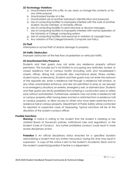#### **22-Technology Violations**

- a. Unauthorized entry into a file, to use, read, or change the contents, or for any other purpose.
- b. Unauthorized transfer of a file.
- c. Unauthorized use of another individual's identification and password.
- d. Use of computing facilities to improperly interfere with the work of another student, faculty member, or University official.
- e. Use of computing facilities to send obscene or abusive messages.
- f. Use of computing facilities to improperly interfere with normal operation of the University or College computing system.
- g. Use of computing facilities and resources in violation of copyright laws.
- h. Any violation of the College/University Computer Use Policy.

#### **23-Theft**

Attempted or actual theft of and/or damage to property.

#### **24-Traffic Obstruction**

Improper obstruction of the free flow of pedestrian or vehicular traffic.

#### **25-Unauthorized Entry/Presence**

Students and their guests may not enter any residence property without permission. This includes but is not limited to occupying any restricted, locked, or closed residence hall or campus facility (including roofs and housekeeper's closets, offices, dining hall, computer labs, mechanical areas, fitness centers, student rooms, or elevators). Students and their guests may not enter the restroom of the opposite sex, enter a residence hall through a residence hall window, or any other unauthorized entrance, and are not permitted to prop or use (except in an emergency situation) an exterior, emergency exit, or alarmed door. Students and their guests are strictly prohibited from entering a construction area or safety zone without authorization. Furthermore, residents may not enter a residence hall or campus property after having been evicted or restricted from a residence hall or campus property, or allow access to others who have been restricted from a residence hall or campus property. Department of Public Safety will be contacted for reported or suspected cases of trespassing. Typical sanctions will be at the discretion of the student conduct officer.

#### **Possible Sanctions:**

**Warning:** A notice in writing to the student that the student is violating or has violated Board of Governors policies, institutional rules and regulations, or the Student Code of Conduct. Any further prohibited conduct could result in more severe disciplinary action.

**Probation I:** An official disciplinary status enacted for a specified duration admonishing a student that any further misconduct during this time may result in suspension. A copy of the notice is sent to the student's Academic Dean and to the student's parent(s)/guardian if he/she is a dependent.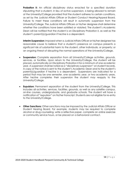**Probation II:** An official disciplinary status enacted for a specified duration stipulating that a student, in lieu of active suspension, is being allowed to remain at the University/College provided that the student adheres to certain conditions, as set by the Judicial Affairs Officer or Student Conduct Hearing/Appeal Board. Failure to meet these conditions will result in automatic suspension from the University/College. The Judicial Affairs Officers or his/her designee shall determine whether the conditions have been satisfied or violated. The student's Academic Dean will be notified that the student is on Disciplinary Probation II, as well as the student's parent(s)/guardian if he/she is a dependent.

**Interim Suspension:** Imposed when a Judicial Affairs Officer or his/her designee has reasonable cause to believe that a student's presence on campus presents a significant risk of substantial harm to the student, other individuals, or property; or an ongoing threat of disrupting the normal operations of the University/College.

- **Suspension:** Complete separation from all University/College activities, grounds, services, or facilities. Upon return to the University/College, the student will be placed, automatically on Disciplinary Probation II for a minimum of one academic year. A suspension shall be noted as a "disciplinary suspension" on student records. A copy of the notice is sent to the student's Academic Dean and to the student's parent(s)/guardian if he/she is a dependent. Suspensions are indicated for a period that may be one semester, one academic year, or two academic years. After he/she completes their suspension the student may reapply to the University/College.
- **Expulsion:** Permanent separation of the student from the University/College. This includes all activities, services, facilities, grounds, as well as any satellite campus, on-line courses, undergraduate, and graduate schools. The student will have a notification of "expulsion" on his/her transcript. Students are not eligible for re-entry to the University/College.
- **Other Sanctions:** Other sanctions may be imposed by the Judicial Affairs Officer or Student Hearing Board. For example, students may be required to complete alcohol or drug counseling, write a reflective paper, complete an online exercise or community service hours, or be placed on a behavioral contract.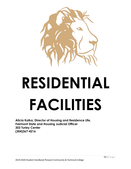

# **RESIDENTIAL FACILITIES**

**Alicia Kalka, Director of Housing and Residence Life, Fairmont State and Housing Judicial Officer 303 Turley Center (304)367-4216**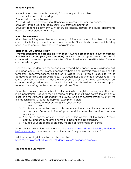#### **Housing Options**

Bryant Place: co-ed by suite, primarily Fairmont upper class students, Morrow Hall: co-ed by floor/wing Pence Hall: co-ed by floor/wing Prichard Hall: coed by floor/wing, Honor's and International learning community University Terrace West: co-ed by semi-suite, freshmen permitted University Terrance East/North & West: studio dingles, double and quad apartments, upper classmen students only (FSU)

#### **Board Requirements**

All students residing in residence halls must participate in a meal plan. Meal plans are also available for apartment or commuter students. Students who have special dietary needs should contact Dining Services for assistance.

#### **Residence/Off-Campus Policy**

**Students attending at least one class on Locust Avenue are required to live on campus their first and second year (four semesters).** Any freshman or sophomore who moves off campus without written approval from the Office of Residence Life will be billed for room and board charges.

Occasionally, the demand for housing may exceed the capacity of our residence halls and apartments. In this event, incoming freshman and transfers may be assigned to temporary accommodations, placed on a waiting list, or given a release to live off campus depending on circumstances. If a student has documented special needs, the Office of Residence Life will make every effort to provide the most appropriate oncampus housing assignment, in consultation with health services, academic support services, counseling center, or other appropriate office.

Exemption requests must be submitted electronically through the housing portal located in Pierpont Portal. Requests must be made no later than 30 days before the first day of class. It is the student's responsibility to provide sufficient documentation to justify the exemption status. Grounds to apply for exemption status:

- 1. You are married and/or are living with your partner.
- 2. You are a parent.
- 3. You have documented medical circumstances that cannot be accommodated on campus (Documentation of your condition must be provided by your physician).
- 4. You are a commuter student who lives within 50-miles of the Locust Avenue campus and are living at the home of a parent or legal guardian.
- 5. You are 21 years of age or older by the start of your enrollment period.

To apply for exemption, visit the web site: [www.fairmontstate.edu/stulife/residence](http://www.fairmontstate.edu/stulife/residence-life/housing-forms)[life/housing-forms](http://www.fairmontstate.edu/stulife/residence-life/housing-forms) under miscellaneous forms on "Campus Exemption Form".

Additional housing information can be found at: <https://www.pierpont.edu/current-students/reslife/application-process> .

#### **The Residence Life Mission**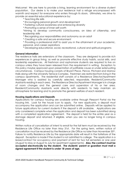Welcome! We are here to provide a living, learning environment for a diverse student population. Our desire is to make your residence hall a refuge encompassed with warmth and respect for everyone who enters through its doors. Ultimately, we strive to provide an essential educational experience by:

- \* Teaching life skills
- \* Encouraging personal growth and development
- \* Fostering cultural awareness and embracing diversity
- \* Promoting a sense of inner self-worth

\*Aiming to develop community consciousness, an idea of citizenship, and leadership skills

\* Recognizing your responsibilities and autonomy as an adult

\* Creating a safe and secure environment

\* Providing a professional staff to assist you in the attainment of your academic, personal, and career aspirations

\* Developing educational, social, recreational, cultural and spiritual programs

#### **General Information**

The residence halls are extensions of the classroom. They are designed to provide rich experiences in group living, as well as promote effective study habits, social skills, and leadership experiences. All freshman and sophomore students are required to live on campus unless they have been released from the requirement in writing. Exception to this policy maybe approved upon presentation of justifiable cause or under extenuating circumstances. Campus housing consists of Bryant Place, Pence, Prichard and Morrow Halls along with the University Terrace Complex. Freshmen are restricted from living in the campus apartments. The residential staff consists of a Residence Director/Apartment Manager who is assisted by carefully selected, responsible, Resident/Community Assistants residing in each area. The Residence Director/Apartment Manager is in charge of room changes and the general care and supervision of his or her area. Resident/Community Assistants work directly with residents to help maintain an atmosphere for learning and to promote the general welfare of each resident.

#### **Housing Applications and Deposits**

Applications for campus housing are available online through Pierpont Portal via the housing link. Look for the house icon to apply. For new applicants, a deposit must accompany the application and can be submitted online. Deposits will be applied to future applications for current students if the deposit is still available. Applications are only considered complete when the application and deposit has been submitted along with a completed application agreement. The deposit is held for the entire year as a damage deposit and returned, if eligible, when you are no longer living in campus housing.

Written notice of cancellation of intent to enroll for the fall term must be received by the Residence Life Office no later than May 31st. For the spring term, written notice of cancellation must be received by the Residence Life Office no later than November 30<sup>th</sup>. Failure to notify Residence Life by the appropriate date will result in the forfeiture of the deposit. Exception is made if the student is not admitted to college. The application is a lease/contract for occupancy and payment of rent for two full semesters or one year (August to May or August to July for apartment agreements). **Also, the contract must be accepted electronically by the student. The students' parent or guardian must mail a signed agreement if the student is under 18 years of age.**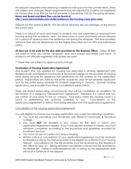No deposit is required when reserving a residence hall space for the summer terms. (Fees are subject and change). Room assignments may be adjusted for students not registered for classes after June 30th for the Fall semester or December 15th for the spring semester. **Room and Board and Meal Plan can be found at <http://www.fairmontstate.edu/stulife/residence-life/housing-meal-plan-rates> .**

Deposit (for the year)is \$ 200.00. This fee will be returned, less any damage, at the end of the school year.

There is no refund of room and board to students who are suspended or removed from housing during the academic year. No deductions in room and board will be allowed for a period of absence from the residence hall during the semester. First time enrollees will have their refunds determined by the Higher Education Act of 1992 and institutional policy.

**All fees are to be paid by the due date provided by the Business Office**. Unless all fees are paid on time, you will be "dropped" from your classes and forfeit your room. A student is not officially registered until all fees are paid.

\*\* These fees are subject to approval and change.

#### **Termination of Housing Application/Agreement**

Any student that has applied for housing has executed a binding agreement with Residence Life and Pierpont Community & Technical College for the provision of housing (and dining services for residence hall applicants) for the entirety of the application period. Applications are valid for the entire academic year for fall semester applicants and for the entire spring semester for students beginning in January. Summer housing applications are excluded from these cancellations expectations.

There are limited extenuating circumstances that will be considered as conditions for termination of a residence hall/apartment agreement. Therefore, it is critical that you are certain of your plans to live on campus. Your status within the housing cycle is a factor in determining the option(s) available to you. Cancellation of the application/agreement is distinct from being released from the application/agreement.

#### Cancellation of the housing application/agreement:

You are eligible to cancel your housing application only under the following conditions:

- You must be cancelling your enrollment with Pierpont Community & Technical College.
- You must **NOT** be enrolled in any classes for the term in which your application/agreement applies. If you have already enrolled in classes, you must withdraw completely according to the procedure and guidelines provided by Enrollment Services.
- You have not yet occupied on-campus housing.
- Written notice of cancellation of your application/agreement must be received by Residence Life by the following dates to be eligible for a refund of your housing deposit. Cancellations for the fall semester must be received by the Residence Life Office by May 31st. Spring semester cancellation notices must be received by November 30th. Failure to notify Residence Life, in writing, by the appropriate date will result in forfeiture of the deposit.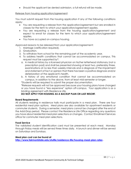• Should the applicant be denied admission, a full refund will be made.

#### Release from housing application/agreement:

You must submit request from the housing application if any of the following conditions apply:

- You are requesting a release from the application/agreement but are enrolled in classes for the term to which your application/agreement applies.
- You are requesting a release from the housing application/agreement and expect to enroll for classes for the term to which your application/agreement applies.
- You have occupied on-campus housing.

Approved reasons to be released from your application/agreement:

- 1. Marriage (verification required).
- 2. Graduation.
- 3. To withdraw from school for the remaining part of the academic year.
- 4. To address health conditions that cannot be accommodated on campus. This request must be supported by\*:
	- a. A medical history by a licensed physician on his/her letterhead stationary (not a prescription pad) and shall be presented showing at least two, preferably three, examinations at no less than weekly intervals and a diagnosis of the impairment and statement of fact or opinion that there has been a positive diagnosis and/or deterioration of the applicant's health.
	- b. A history of any emotional condition that cannot be accommodated on campus, in addition to the above, from at least mid-semester or longer.

\*Students will be required to submit the proper documentation.

\*Release requests will not be approved because your housing plans have changed or you have found a "less expensive" option off-campus. Your application is as a binding agreement with Residence Life.

#### **DO NOT APPLY FOR HOUSING AS A BACKUP PLAN OR LAST RESORT**.

#### **Board Requirements**

All students residing in residence halls must participate in a meal plan. There are four residential meal plan options. Meal plans are also available for apartment residents or commuter students. During a semester, meal plans cannot be changed after the end of the Add-Drop period. Please contact the Residence Life Office regarding any questions you have about residential meal plan selections or changes. Contact Enrollment Services office for commuter meal plan selections.

#### **Food Service**

The validated student identification card must be presented at each meal. Monday through Friday meals will be served three times daily. A brunch and dinner will be served on Saturdays and Sundays.

#### **Meal plan cost can be found at**

**<http://www.fairmontstate.edu/stulife/residence-life/housing-meal-plan-rates> .**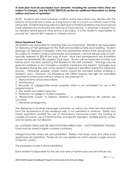#### **A meal plan must be purchased each semester, including the summer terms (Fees are subject to change). See the FOOD SERVICES section for additional information on dining options and hours of operation.**

*NOTE: Students who have schedule conflicts during meal times may decide with the Director of Food Service to pick up a bag lunch in lieu of a lunch or a dinner meal at the Dining Hall. Students requiring selective diets due to medical problems may have special foods prepared by contacting the Director of Food Service. A physician's request may be needed before special meal service is provided. It is the student's responsibility to provide the "special diet" request in a timely manner.*

#### **Room/Apartment Care**

All residents are responsible for cleaning their own living areas. Residents are responsible for disposing of their garbage into the trash bins located outside each building. Student garbage not disposed of properly within the appropriate exterior trash receptacles will be subject to student conduct procedures and assessed a service fee per bag of trash, typically assessed at \$25.00 per bag of trash. Bunk bed arrangements are prohibited except for Residential Life supplied bunk beds. Rooms will be inspected monthly and before each vacation period by the Residence Life staff members. Warnings may be given for untidiness or any hazardous condition created by the resident. Damages may be repaired during the year at the resident's expense if identified during the inspection process. Whenever possible, ample notice should be provided before entering a resident's room. However, the Residence Life Office reserves the right for authorized personnel to enter rooms without notice for the purposes of:

- 1. Improvements and/or renovations.
- 2. Maintenance.

3. Recovery of college/state-owned property which is not authorized for use in the assigned space.

- 4. Fire, health and safety inspection.
- 5. Protection of college or student property.

6. "Reasonable Cause" to believe violations of college/residence life policies are occurring.

7. Perceived emergencies.

The displaying of alcoholic beverage containers, as well as any other item that distracts from the appearance of the residence halls, is not permitted in windows. Safety and health regulations prohibit the use of stand-alone microwave ovens, the burning of candles or incense, use of Christmas trees and electric tree lights. Multiple electric outlets and hot plates are not allowed.

ALL COOKING ITEMS MUST BE USED IN KITCHEN AREAS ONLY – NOT IN RESIDENTS' ROOMS. Food must be stored in tightly covered containers.

Halogen/Touchier lamps are also prohibited. Radios, hair dryers, irons and other small appliances are permitted. Please do not use appliances which require a large amount of electric current.

The possession of pets is strictly prohibited.

Each resident is responsible for the use and care of his/her room and all furniture, etc.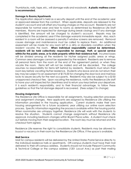Thumbtacks, nails, tape, etc., will damage walls and woodwork. **A plastic mattress cover is recommended.**

#### **Damage to Rooms/Apartments**

The Application deposit is held as a security deposit until the end of the academic year or approved release from the contract. When applicable, deposits are released to the student's account and will offset any housing charges on the account. Residents are not responsible for normal wear and tear to rooms as determined by Residence Life Staff members. Rooms are inspected for damage during break closings and if any damage is identified, the amount will be charged to student's account. Repairs may be completed in the academic year if the damage warrants immediate repair. Also, each resident in a room will be assessed a penalty if window screens are removed. Removal causes damage and maintenance must be called to replace them. An additional assessment will be made for any room left in a dirty or disorderly condition when the resident vacates the room. **When individual responsibility cannot be determined, residents will be held collectively responsible for damage, theft, or special service within/for the public areas, or to state property within their residence hall**. Incurred losses will be divided among all the residents for his/her assigned public areas or wings. Common area damages cannot be appealed by the resident. Residents are to remove all personal items from the room at the end of the agreement period, or when they vacate the room. Items left will not be mailed and will be discarded. The college assumes no responsibility for items left behind by residents. Residents must return their room key before vacating his/her residence. Students who leave and do not return their key may be subject to an assessment of \$175.00 for changing the door lock and mail box locks to assure security for the next occupants. Residents may also be subject to a \$150 unapproved checkout fee. Upon vacating the residence, notify the Residence Life staff to have your unit inspected for cleanliness and to return your keys before your departure. It is each resident's responsibility, and to their financial advantage, to follow these guidelines so that the full damage deposit is recovered. (Fees subject to change)

#### **Housing Assignments**

The Residence Life Office is responsible for all assignments, housing selection processes and assignment changes. New applicants are assigned by Residence Life utilizing the information provided in the housing application. Current students make their own housing arrangements for a future academic year utilizing our online room selection process. Specific information regarding the process is available within the housing portal. When roommates are unhappy together, Residence Life will work with the students to resolve the situation. Students cannot change assignments without Residence Life approval, including bedroom changes within Bryant Place suites. A student must check out before moving from their assigned location. The room key must be returned and the checkout form signed.

Residence Life reserves the right to consolidate students. Residents may be allowed to buyout a vacancy in their room by the Residence Life Office, if the space is available.

#### **Mail Service**

Mail for campus residents will be delivered by the United States Postal Service directly to the individual residence halls or apartments. Off-campus students must have their mail delivered to their off-campus address. Students should not include Pierpont Community & Technical College or the campus address (1201 Locust Ave.) as part their mailing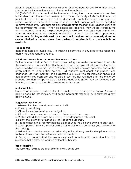address regardless of where they live, either on or off-campus. For additional information, please contact your residence hall director or the mailroom at:

(304)367-4243. First class mail will be forwarded during the summer months for resident hall students. All other mail will be returned to the sender, and periodicals (bulk rate and mail that cannot be forwarded) will be discarded. Notify the publisher of your new address well in advance of vacating the residence hall. Mail will not be forwarded for apartment residents. Packages are delivered directly to the individual residence hall and the apartment mail room. When packages are received, they will be stored in the designated mail room and a slip placed on your mail box. Packages can be retrieved from staff according to the schedule established for each resident hall or apartments. **Please note: Packages delivered by express mail services are occasionally stored at central distribution centers when direct delivery to resident hall or apartments is not available**.

#### **Tobacco Use**

Residence halls are smoke-free. No smoking is permitted in any area of the residential facility, including residents' rooms.

#### **Withdrawal from School and Non-Attendance of Class**

Residents who withdraw from all their classes during a semester are required to vacate the residence hall immediately after the withdrawal is completed. Also, any resident who stops attending classes may have his/her residence hall contract canceled and will be given notice to vacate their housing. All residents must check out properly with Residence Life staff member or be assessed a \$150.00 fine for improper check out. Replacement key costs are also applied if keys are not returned after the move out process. Residents dropping below full time academic status may be removed from housing, but are not automatically required to move out.

#### **Motor Vehicles**

Students will receive a parking decal for display when parking on campus. Should a parking decal be lost or stolen, it will be the individual's responsibility to purchase a new parking decal.

#### **Regulations for Fire Drills**

- 1. When a fire alarm sounds, each resident will:
- a. Dress appropriately.
- b. Close the windows and leave the light on.
- c. Close the door as you leave the room. Doors should be locked.
- d. Walk a safe distance from the building to the designated rally point.
- e. Follow the directions provided by the Residence Life Staff.
- 2. Residents not in their rooms when the alarm sounds should leave by the nearest exit.

3. Upon approval from the Residence Life Staff or authorized personnel, you may re-enter the building.

4. Failure to vacate the residence halls during a fire drill may result in disciplinary action, such as dismissal from the residence hall or a sanction.

5. Pulling an unauthorized fire alarm may result in automatic suspension from the residence hall and/or prosecution by local authorities.

#### **Use of Facilities**

The following facilities are available for the students' use.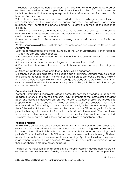1. Laundry - all residence halls and apartment have washers and dryers to be used by residents. Non-residents are not permitted to use these facilities. Garments should not be left unattended in the laundry equipment. Items left unattended for more than 24 hours will be discarded.

2. Telephones – telephone hook-ups are installed in all rooms. All regulations on their use are determined by the telephone company and must be followed. Apartment residence must contact the phone company to activate service at the residence expense.

3. Televisions - televisions are in the residence hall lobbies and lounges. There are no restrictions on viewing except to keep the volume low at all times. Basic TV cable is available in each room and apartment.

4. Internet access is available in each housing location with access available per resident.

Wireless service is available in all halls and is the only service available in the College Park Apartments.

Each resident should observe the following guidelines when using public kitchen facilities: 1. Clean the sink and range after use.

2. Place your name on any food stored in the refrigerator. Use refrigerator for long term storage at your own risk.

3. Use foods promptly to prevent spoilage and to prevent loss by theft.

4. Each resident is required to clean up and dispose of trash properly after using the facility.

5. Dishes left in kitchen areas more than 24 hours will be discarded.

6. Kitchen lounges are expected to be kept clean at all times. Lounges may be locked and privileges revoked at any time without notice if areas are found unkempt. Noise in all lounges should be kept to a minimum. Lounge and study areas are the students' living room. A television set is in the lounge. Appropriate clothing is to be worn in the lounges and study areas at all times.

#### **Computer Use Policies**

Pierpont Community & Technical College's computer network is intended to support the academic efforts of the entire community. Only members of the matriculated student body and college employees are entitled to use it. Computer users are required to properly sign-in and expected to abide by procedures and policies. Disciplinary sanctions will be forthcoming to those that fail to comply with computer room policies. Use of the network to run a business or other type of non-affiliated organization is not permitted along with the use of software to monitor data in the network. The creation or transmission of threatening, indecent, or obscene material in any form is prohibited. Harassment and hate e-mail is illegal and will be subject to disciplinary action.

#### **Vacation Periods**

All Halls close during all vacation periods (i.e. Thanksgiving, Winter, and Spring break) and rooms must be vacated following the last meal served by the Dining Hall. Break housing is offered at additional daily rate cost for students that cannot leave during break periods. Contact the Resident Life Office for directions to request break housing. Students must adhere to the deadlines to request break housing. Apartment residents may reside in apartments during all break periods. We ask that residents notify apartment staff of their break housing plans for safety purposes.

No part of the induction of an associate into a fraternity/sorority may be administered in residence areas. Furthermore, Greeks, as well as other organizations, are not permitted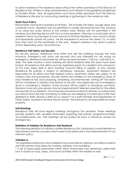to solicit members in the residence areas without the written permission of the Director of Residence Life. All fliers or other advertisements must adhere to the guidelines established by Student Affairs. Also, all organizations must have written permission from the Director of Residence Life prior to conducting meetings or gatherings in the residence halls.

#### **Quiet Hours Policy**

Reasonable noise level is required at all times. This includes the lobby, lounge areas and computer rooms. Residents are not permitted to create disturbances from the windows or by using any audio device in the window area. Stereos are not permitted in the windows (any listening device with two or more speakers). Television or small radio sets in residents' rooms must be kept at a low volume at all times. Residents, who cannot comply and repeatedly violate this policy, will be requested to remove the stereo, TV, or radio from their room for the remainder of the year. Repeat violations may result in judicial action depending upon circumstances.

#### **Residence Hall Safety and Security**

For security reasons, residences must enter and exit the buildings through the main entrance. Emergency exit doors are secured and only intended for use during an emergency. Residence hall entrances will be secured between 11:00 p.m. until 6:00 a.m., daily. The desk monitor in each building will admit residents after the doors have been locked. All residence hall visitors must be registered guests of a resident and checked in at the main lobby desk in each building. Anyone failing to register, or who violates Residence life policies, is subject to disciplinary measures. Apartment residents are responsible for all visitors and their related actions. Apartment visitors are subject to all campus rules and procedures. Security alarms are installed on the emergency doors of each residence hall. Door propping, tampering, and intentionally "setting off" the alarm will be considered a violation and breach of security. Non-approved use of emergency doors is considered a violation. Those involved will be subject to disciplinary sanctions. Revisions to security procedures may be implemented if deemed essential for the safety and security of our residents. Your living area should be locked at all times, including when you are just down the hall, showering, or while you are sleeping. A locked door is the main deterrent to theft. Should a theft occur, report it to a staff member and Department of Public Safety, located in 3rd floor Falcon Center. The institution is not responsible for stolen property.

#### **Hall Meetings**

Residence halls will have regular meetings throughout the semester. These meetings provide residents with valuable information regarding hall policies, programs/activities, accomplishments, etc. Hall meetings will be posted 24 hours in advance, except for emergencies.

#### **Definition of Visitation for Residence Hall Residents**

The following definition of visitation clarifies Residence Life's philosophy toward Residence Hall visitation and the concerns which need to be balanced in the implementation of our visitation policy:

#### **Visitation is**:

\*An organized method by which residents may have friends, relatives, and fellow students visit their primary living areas for studying, relaxing, and socializing.

\* A set of reasonable parameters within which roommates may determine collectively how to balance study, sleep, and social activities within the residence halls.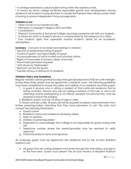\* A privilege extended to adult students living within the residence halls.

\* A means by which college facilitates responsible growth and development among residence hall students to prepare them to handle the freedom they will encounter when choosing to pursue independent living arrangements.

#### **Visitation is not**:

- \* Open access to our residence halls.
- \* Permission to engage in illegal or illicit activities.
- \* Cohabitation.
- \* Pierpont Community & Technical College assuming a parental role with our students.
- \* A means by which a student's privacy is compromised by the presence of a visitor.

\* One student's rights that supersede another student's desire for an academic atmosphere.

**Summary** - Concerns to be balanced relating to visitation:

- \* Security of residents/escorting of guests.
- \* Control of guest; host responsibility for guest.
- \* Access/openness of hall to invited and uninvited visitors.
- \* Rights of roommates to privacy, sleep, and study.
- \* Roommate permission required.
- \* Limit abuse by "freeloaders".
- \* Restroom access for guests.
- \* Gender privacy in restrooms for residents.

#### **Visitation Policy and Guidelines**

Regular visitation will be granted Sundays through Saturdays from 9:00 am until midnight. During these times, guests may be signed-into a residents' room. The following guidelines have been established to ensure the safety and welfare of our residents and their guests:

- 1. A guest is anyone who is visiting a resident of that particular residence hall by his/her invitation. Persons who are not visiting a resident of that hall, or who is not attending and/or participating in an official university function/activity, may be required to leave the building.
- 2. Residents' guests must be 18 years of age or older.

3. Guests who are under 18 years old will be required to present documentation from his/her parent/guardian indicating that they have permission to visit. This note must contain the following information:

- a. Guest's name
- b. Resident's name and residence hall being visited
- c. Date of visitation
- d. Address of parent/guardian
- e. Statement to acknowledge that college is not responsible for guests during their visit
- f. Telephone number where the parent/guardian may be reached to verify approval
- g. Parent/Guardian's name and signature

All underage guests must be signed-into the residence hall by the on-duty Resident Assistant only.

4. All guests that are visiting residents must enter through the main lobby and sign-in at the front desk. Guests must present the on-duty Monitor or Resident Assistant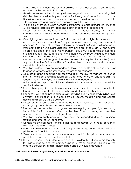with a valid photo identification that exhibits his/her proof of age. Guest must be escorted by the resident at all times.

- 5. Guests are expected to abide by all rules, regulations, and policies during their visit. Residents are ultimately responsible for their guests' behavior and actions. Disciplinary sanctions and fees may be imposed on residents whose guests violate rules, regulations, and policies, or vandalizes institution property.
- 6. Alcoholic beverages are not permitted. Furthermore, persons under the influence will be refused visitation privileges and admittance to the residence hall.
- 7. Guests must vacate the residence hall, including the lobby area, by midnight. Extended visitation allows guests to remain in the residence hall main lobby until 2 a.m.
- 8. Overnight guests are restricted to Friday and Saturday night. For weekends in which the campus is closed on Friday or Monday, an extra night of visitation is permitted. All overnight guests must leave by midnight on Sunday. All roommates must complete on Overnight Visitation Form in the presence of an RA and submit it before the end of the Friday night RA shift (12:00 a.m.). Residents may not have overnight guest in the residence hall more than three consecutive nights and more than twice a month. Parental/guardian permission note must be submitted to the Residence Director if the guest is underage (see 3 for required information). With approval from the Residence Life staff and resident's roommate, family members may visit during the week.
- 9. Visitation privileges may be suspended by the residence life staff for due cause, or to adequately ensure the safety and welfare of our residents.
- 10. All guests must be accompanied/escorted at all times by the resident that signed them in, no exceptions will be tolerated. Guests may not be left unattended in the resident's room while s/he visits elsewhere in the residence hall.
- 11. Noise must be kept to a minimum. Guests who create a disturbance will be required to leave.
- 12. Residents may sign-in more than one guest. However, residents should coordinate this with their roommates to avoid conflicts and other undue hardships.
- 13. Room keys will not be provided to guest. Providing guest with room/building keys, university identification, etc. is considered a security violation and appropriate disciplinary measure will be pursued.
- 14. Guests are required to use the designated restroom facilities. The residence hall will assign appropriate restrooms/showers for visitors.
- 15. Residences are permitted only sign-in one overnight guest per night, excluding immediate family members. Only the Resident Director may grant a resident permission to sign in more than 1 guest overnight.
- 16. Visitation during finals week may be limited or suspended due to insufficient staffing and other safety concerns.
- 17. Complaints by roommates and/or other residents may result in the suspension of a resident's visitation privileges.
- 18. Upon written request, the Director of Campus Life may grant additional visitation privileges for "special occasions."
- 19. Violations of any of the above procedures will result in disciplinary sanctions and possible expulsion from the residence hall.
- 20. The Vice President for Student Affairs and the Resident Life Office retain the right to review, modify, and for cause, suspend visitation privileges. Notice of the modified stipulations and revisions will be posted 24 hours in advance.

#### **Residence Hall Rules, Regulations, Procedures and Judiciary Board**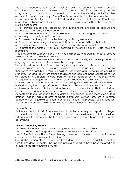The Office of Residents Life is responsible for overseeing the residential judicial system and coordinating all related processes and functions. The office provides proactive programming and educational interventions to foster the development of student responsibility and community. The office is responsible for the interpretation and enforcement of the Student Conduct Code and Residence Life Rules and Regulations related to all alleged acts of student misconduct in residential facilities. The goals of the judicial system are;

1. To provide educational programs and interventions directed at encouraging responsible, community-minded behavior.

2. To establish and enforce reasonable and clear limits designed to protect the community and the rights of its members.

3. To develop and support a positive learning and living environment.

4. To educate students regarding responsibility and accountability for their actions.

5. To encourage and foster self-insight and self-initiated change of behavior.

6. To protect the rights of individuals accused of violating Fairmont State rules and regulations.

7. To provide a fair, supportive and timely hearing process to address instances of alleged violation of campus rules and policies.

8. To offer learning experiences for students, staff, and faculty who participate in the ongoing maintenance and implementation if the process.

The basic philosophy of the Residential Life judicial system is educational in nature.

Judicial policies and processes are designed to encourage students to empower themselves to establish and maintain positive, responsible and supportive communities. Students, staff and faculty are trained to discuss and confront inappropriate behaviors with students in a straight forward, positive manner. Respect for the students, honest dialogue and the objective consideration of all evidence and testimony is critical to the process. The key to effective disciplinary counseling is twofold: to assist the student in understanding the inappropriateness of his/her actions and the ways in which such actions negatively impact other individuals and/or the community; and help the students identify and learn more effective methods of judgment and action in the future. When students are found responsible for any violation, educational interventions such as fees, projects, papers, hall programs, seminars, community service, etc. are a frequent component of the judicial sanction to enhance the learning process. Judicial sanctions are rendered from available information to be educational and impactful.

#### **Judicial Process**

Residence Life staff, Public Safety members, students and faculty can report and alleged policy violation to the residence Life Office. Reports from residence hall staff or residents will be submitted directly to the Residence Life at which time a hearing officer will be determined.

#### **Flow of Community Reports**

The flow of incident reports submitted for judicial action will be as follows:

Step 1: The Community Report is submitted to the Residence Life Office.

Step 2: The Residence Life staff member logs the report and assigns an incident number and determine the appropriate hearing officer.

Step 3: The hearing officer will look up the student's schedule and establish a meeting with the student to identify the specific policies alleged to have been violated and discuss the details of judicial process.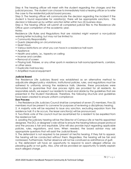Step 4: The hearing officer will meet with the student regarding the charges and the judicial process. The student can choose to immediately hold a hearing officer or to refer the case to the residential judicial board process.

Step 5: The hearing officer will communicate the decision regarding the incident if the student is found responsible for violation(s), there will be appropriate sanctions. This decision is followed up by written sanction letter within two (2) business days.

Step 6: The hearing officer will submit all completed judicial files to the Residence Life Office upon completion of the academic year.

#### Notes:

Residence Life Rules and Regulations that are violated might warrant a non-judicial warning letter including, but may not be limited to:

- Community Responsibility
- Guests (depending on circumstances)
- Quiet Hours
- Various restrictions on what you can have in a residence hall room
- Appliance
- Health and safety, i.e., tapestry on ceiling
- Incense and candles
- Removal of screen

• Playing ball, Frisbee, or any other sports in residence hall rooms/apartments, corridors, or other areas

- Duplicate mail box key
- Amplified musical equipment

#### **Judicial Board**

The Residence Life Judiciary Board was established as an alternative method to adjudicate alleged policy violations. Institutional policies, rules, and regulations must be adhered to uniformly among the residence halls. Likewise, these procedures were formulated to guarantee that due process rights are provided for all residents. As responsible adults, we expect our residents to read and abide by the guidelines that are presented in the Student Handbook. Therefore, the following structure and guidelines have been created to ensure uniform compliance:

#### **Due Process**:

1. The Residence Life Judiciary Council shall be comprised of seven (7) members. Five (5) members must be present to convene for purposes of reviewing a disciplinary hearing.

2. A majority vote will be required to issue any sanction, excluding expulsion from the residence hall. If a tie occurs, the lesser sanction(s) will be pronounced.

3. Two-thirds vote of the council must be ascertained for a resident to be expelled from the residence hall.

4. Leading the judiciary hearing will be the Director of Campus Life or her/his appointed designee. The DCL or designee's role will be to ensure the hearing follows proper protocol and the process is fair and equitable. S/he will also provide input regarding applicable policies, rules, regulations, and laws. When needed, the board advisor may ask appropriate questions that will assist the Judicial Board.

5. The defendant is not required to be present at her/his hearing. If they fail to appear, the hearing will be conducted without them. Regardless, the hearing will be fair and nonbiased. Furthermore, his/her absence will not be construed as admittance of guilt.

6. The defendant will have an opportunity to respond to each alleged offense via pleading guilty or not guilty. Also, s/he will be provided an opportunity to briefly explain each alleged charge.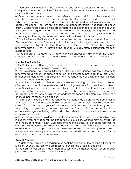7. Members of the council, the defendant, and ex-officio representatives will have adequate time to ask question of the witnesses. Only information relevant to the case is permitted as testimony.

8. One person may accompany the defendant as an advisor, at the defendant's discretion. However, l advisors are not to directly ask questions or address the council. Advisors must consult with the defendant and the defendant will ask questions and address the council. They are only advisors. A residence life judiciary hearing is not a court of law. Decisions are based on the preponderance of evidence available to the council. 9. Parents or legal guardians are not notified of a pending judiciary hearing. Members of the Residence Life Judiciary Council are not permitted to disclose any information to parents, guardians, legal counsel, etc., even with written authorization.

10. The Residence Life Judiciary Council's decision serves as a recommendation to the Director of Campus Life. S/he may uphold the council's findings, or for cause, alter the disciplinary sanction(s). If the Director of Campus life alters the council's recommendation, s/he will provide the council with a written explanation for such modifications.

11. The Director of Campus Life will review any extraneous or major offense that occurs during the last two weeks of a semester in lieu of the Residence Life Judiciary Council.

## **Sanctioning Guidelines:**

1. The Residence Life Hearing Officer or the Judiciary Council must be fair and non-biased in their judgment and decision-making abilities.

2. The Residence Life Hearing Officers or the Judiciary Council has the authority to recommend a variety of sanctions to be implemented, provided they are within residence life guidelines; with expulsion from the residence hall being the most stringent disciplinary recommendation.

3. Sanctions, as well as offenses, are cumulative. Hearings will examine all alleged offenses committed in the residence hall, including violations from previous academic term. Disciplinary actions are progressive (increases) if the resident continues to violate rules, regulations, and/or policies. Furthermore, the hearing officers the council is obligated to review and assess the defendant's residence hall history (i.e., disciplinary offenses) prior to rendering a decision.

4. If a resident is expelled from the residence hall, s/he may be prohibited from entering any residence hall and its surrounding grounds (i.e., parking lot, sidewalks, and grass areas) for up to one (1) year of the hearing date. Failure to comply may result in trespassing charges being pursued, as well as Campus Police and/or local law enforcement agencies being notified. Also, the defendant is not permitted to reside oncampus during this time.

5. In situations where a resident's, or staff member's welfare may be jeopardized (i.e. incidents involving weapons), the Residence Life Judiciary Council may be by-passed and the Student Affairs Review Committee will hear the case. Residence life reserves the right to take immediate administrative action to address community issues related to such incidents. Judicial procedures will follow to determine appropriate judicial action.

6. Residents who are expelled from the residence hall will be charged room rent for the remainder of her/his lease agreement.

## **Appeal Process**:

1. A defendant must have a reason to appeal the decision of the hearing officer or the judiciary council. The following are reasons to challenge a judicial decision:

a. The hearing was unfair. A defendant must justify this in his/her request for an appeal; just stating that the hearing was unfair is not sufficient.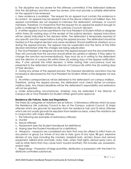b. The discipline was too severe for the offenses committed. If the defendant believes that the disciplinary sanctions were too severe, s/he must provide a suitable alternative for the appeal to be reviewed.

c. New evidence is available. The request for an appeal must contain this evidence in its content. An appeal may be denied if one of the above criteria is not fulfilled. Also, the appeal committees are not required to interview the defendant, witnesses, or council members. Therefore, it is imperative that the request for an appeal be explicit enough to justify a challenge to the Residence Life Judiciary Council's decision.

2. A written appeal must be submitted to the Vice President of Student Affairs or designee within three (3) working days of the receipt of the judicial decision. Appeal instructions will be clearly indicated in the decision letter. The defendant is temporarily resolved of any specific sanction expectations during the appeal process. The defendant should be treated as if the original decision was never rendered. Should additional violations occur during the appeal process, the appeal may be suspended and the terms of the initial decision reinstated while the charges are being adjudicated

3. The Vice President or designee will review the appeal request and the documentation. They will conclude that the sanction should either be upheld or altered. If they select to change the sanction recommendation(s), they must do so in writing to the defendant and the director of campus life within three (3) working days of the appeal notification. Also, if s/he upholds the initial decision, a letter stating their concurrence must be presented to the defendant and the director of Campus Life within five (5) working days of their decision.

4. During any phase of the appeal process, the imposed disciplinary sanctions may be increased or decreased by the Vice President for Student Affairs or the designee, for due cause.

5. All written correspondence will be delivered to the defendant's on-campus mailbox.

Therefore, during the appeal process, the defendant must check his/her on-campus mailbox daily. Any missed deadlines will be the defendant's responsibility and extensions will not be granted.

6. Under extenuating circumstances, timelines may be extended if the Director of Campus Life or Vice President for Student Affairs grants prior approval.

## **Residence Life Policies, Rules and Regulations:**

The three (3) categories of violations are as follows: 1) Extraneous offenses which by-pass the Residence Life Judiciary Council in lieu of the Campus Judicial Council; 2) Major offenses which are grounds for expulsion from the residence hall; and 3) Minor offenses which are not usually grounds for expulsion from residence areas, unless the violations are in conjunction with major offenses.

- 1. The following are examples of extraneous offenses:
- a. Murder
- b. Sexual offenses
- c. Harassment (see the Student Handbook for definitions)
- d. Hazing (see the Student Handbook for a definition)

e. Weapons - weapons are considered any item that may be utilized to inflict harm on any person or group (i.e. knives of any size or style, guns of any type, BB gun, explosive devises of any type including fire crackers, baseball bats, archery (bows and arrows) equipment, billiard sticks and balls, clubs, forks, whips, flash lights, aerosol spray cans, as well as other items that may cause harm toward another); this includes use, possession, and/or sale)

f. Illegal drugs – Possession of large quantities, distribution or possession with the intent to distribute controlled substances.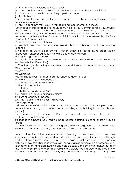- g. Theft of property valued at \$500 or over
- h. Computer harassment or illegal use (see the Student Handbook for definitions).
- i. Vandalism that results in extensive property damage.
- j. Bomb threats.

k. Violation of federal, state, or local laws that are not mentioned among the extraneous, major, or minor offenses.

l. Any incident that may result in immediate harm to another or oneself.

Extraneous offenses proceed to the Student Affairs Review Committee for review. Usually, the first time a student commits an extraneous offense, it may warrant expulsion from the residence hall. Also, any extraneous offense that occurs during the last two weeks of the semester may by-pass the Campus Judicial Council and be reviewed by the Vice President of Student Affairs.

2. Major offenses are as follows:

i. Alcohol (possession, consumption, sale, distribution, or being under the influence of alcohol)

ii. Visitation (failure to abide by the visitation policy, i.e., not following proper sign-in procedures, unescorted guests, not using designated restrooms)

iii. Illegal drug paraphernalia

iv. Illegal drugs (possession of personal use quantity, use or detection via senses by residence hall staff member)

v. Contributing to the delinquency of a minor (providing alcohol to someone who is under

21 years of age)

vi. Smoking

vii. Gambling

viii. Fighting (assaults) and/or threats to residents, guests or staff

ix. "Prank or obscene" telephone calls

x. False reporting of an emergency

xi. Unauthorized entry

xii. Littering

xiii. Theft of property under \$500

xiv. Failure to evacuate during fire alarms

xv. Burning candles or incense

xvi. Any violation that involves mail delivery

xvii. Trespassing

xviii. Security or safety violation (i.e., exiting through an alarmed door; propping open a secured door; storing unauthorized items; providing room/hall key to an unauthorized person).

xix. Interference, obstruction, and/or failure to abide by college officials in the performance of his/her duties

xx. Indecent exposure (i.e., wearing inappropriate clothing, exposing oneself in public areas).

xxi. Misrepresentation of the facts during an official investigation (i.e., submitting false reports to Campus Police and/or a member of the residence life staff)

Any combination of the above warrants a hearing. In most cases, only three major offenses are required for a defendant to be expelled from the residence hall. Although, certain offenses (possession of drug paraphernalia, illegal drugs, indecent exposure, fighting and/or threats to residents, guests, or staff, false reporting of an emergency, etc.) may result in an immediate hearing and possible expulsion from the residence hall after the first offense. Some offenses may result in a judiciary hearing. Due to the creativity of students, it is impossible to predict every inappropriate action that may occur. Any major